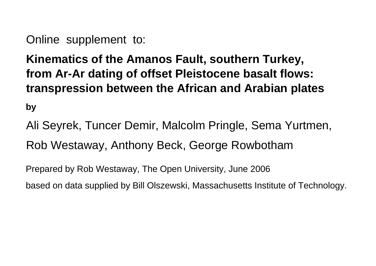Online supplement to:

**Kinematics of the Amanos Fault, southern Turkey, from Ar-Ar dating of offset Pleistocene basalt flows: transpression between the African and Arabian plates**

**by**

Ali Seyrek, Tuncer Demir, Malcolm Pringle, Sema Yurtmen, Rob Westaway, Anthony Beck, George Rowbotham

Prepared by Rob Westaway, The Open University, June 2006

based on data supplied by Bill Olszewski, Massachusetts Institute of Technology.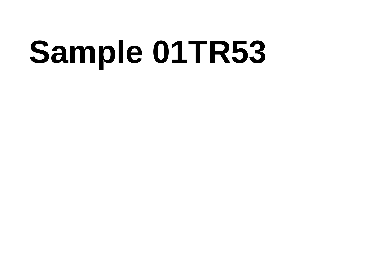# Sample 01TR53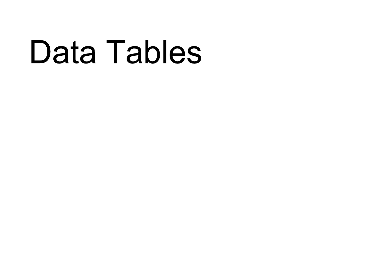### Data Tables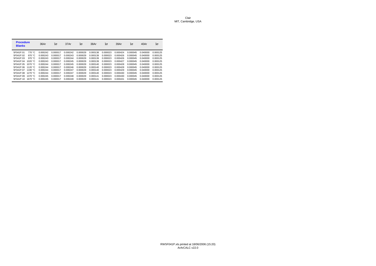| <b>Procedure</b><br><b>Blanks</b> |                  | 36Ar     | $1\sigma$ | 37Ar     | $1\sigma$ | 38Ar     | $1\sigma$ | 39Ar     | $1\sigma$ | 40Ar     | $1\sigma$ |
|-----------------------------------|------------------|----------|-----------|----------|-----------|----------|-----------|----------|-----------|----------|-----------|
| 5F041P.01                         | 770 °C           | 0.000242 | 0.000017  | 0.000242 | 0.000029  | 0.000138 | 0.000023  | 0.000424 | 0.000045  | 0.040000 | 0.000125  |
| 5F041P.02                         | 870 °C           | 0.000243 | 0.000017  | 0.000243 | 0.000029  | 0.000139 | 0.000023  | 0.000426 | 0.000045  | 0.040000 | 0.000125  |
| 5F041P.03                         | 970 °C           | 0.000243 | 0.000017  | 0.000244 | 0.000029  | 0.000139 | 0.000023  | 0.000426 | 0.000045  | 0.040000 | 0.000125  |
| 5F041P.04                         | 1020 °C          | 0.000243 | 0.000017  | 0.000245 | 0.000029  | 0.000139 | 0.000023  | 0.000427 | 0.000045  | 0.040000 | 0.000125  |
| 5F041P.05                         | 1070 $\degree$ C | 0.000244 | 0.000017  | 0.000245 | 0.000029  | 0.000140 | 0.000023  | 0.000428 | 0.000045  | 0.040000 | 0.000125  |
| 5F041P.06                         | 1120 $\degree$ C | 0.000244 | 0.000017  | 0.000246 | 0.000029  | 0.000140 | 0.000023  | 0.000428 | 0.000045  | 0.040000 | 0.000125  |
| 5F041P.07                         | 1190 $\degree$ C | 0.000244 | 0.000017  | 0.000247 | 0.000029  | 0.000140 | 0.000023  | 0.000429 | 0.000045  | 0.040000 | 0.000125  |
| 5F041P.08                         | 1270 $°C$        | 0.000244 | 0.000017  | 0.000247 | 0.000029  | 0.000140 | 0.000023  | 0.000430 | 0.000045  | 0.040000 | 0.000125  |
| 5F041P.09                         | 1370 °C          | 0.000245 | 0.000017  | 0.000248 | 0.000029  | 0.000141 | 0.000023  | 0.000430 | 0.000045  | 0.040000 | 0.000125  |
| 5F041P.10                         | 1670 $°C$        | 0.000245 | 0.000017  | 0.000249 | 0.000029  | 0.000141 | 0.000023  | 0.000431 | 0.000045  | 0.040000 | 0.000125  |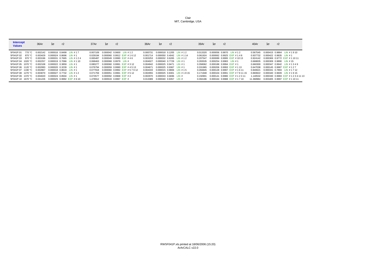| <b>Intercept</b><br><b>Values</b> | 36Ar     | $1\sigma$<br>r2                        | 37Ar     | $1\sigma$                         | r2                         |                            | 38Ar                              | $1\sigma$             | r2 |                                    | 39Ar     | $1\sigma$                | r2 |                                 | 40Ar      | $1\sigma$                  | r2 |                               |
|-----------------------------------|----------|----------------------------------------|----------|-----------------------------------|----------------------------|----------------------------|-----------------------------------|-----------------------|----|------------------------------------|----------|--------------------------|----|---------------------------------|-----------|----------------------------|----|-------------------------------|
| 5F041P.01 770 °C                  |          | 0.002142 0.000016 0.8499 LIN #17       | 0.007109 |                                   |                            | 0.000042 0.0600 LIN #12    | 0.000731 0.000018 0.1205 LIN #12  |                       |    |                                    | 0.013320 |                          |    | 0.000056 0.9870 LIN # 1 2       | 0.567545  |                            |    | 0.000415 0.9864 LIN # 1 9 10  |
| 5F041P.02 870 °C                  |          | $0.003429$ $0.000024$ $0.8696$ LIN # 1 | 0.029194 |                                   |                            | 0.000060 0.9912 EXP #1612  |                                   |                       |    | 0.001714 0.000050 0.4042 LIN #114  | 0.061924 |                          |    | 0.000062 0.9925 EXP #148        | 0.937732  | $0.000422$ $0.9835$ LIN #1 |    |                               |
| 5F041P.03 970 °C                  | 0.003196 | 0.000031 0.7665 LIN #124               | 0.065487 |                                   | 0.000049 0.9990 EXP #46    |                            | 0.003253 0.000032 0.6265 LIN #12  |                       |    |                                    | 0.207547 |                          |    | 0.000089 0.9995 EXP #1013       | 0.924142  |                            |    | 0.000369 0.9772 EXP #11011    |
| 5F041P.04 1020 °C                 | 0.002257 | 0.000019 0.7066 LIN # 1 10             |          | 0.068463  0.000068  0.9979  LIN # |                            |                            | $0.004027$ 0.000040 0.7729 LIN #1 |                       |    |                                    | 0.283535 | $0.000254$ 0.9983 LIN #1 |    |                                 | 0.668835  | 0.000309 0.9890 LIN #15    |    |                               |
| 5F041P.05 1070 °C                 | 0.002108 | $0.000022$ $0.3859$ LIN #1             | 0.080277 |                                   |                            | 0.000060 0.9991 EXP #312   | 0.004942 0.000025 0.9471 LIN #1   |                       |    |                                    | 0.358062 | 0.000188 0.9994 EXP #1   |    |                                 | 0.660300  |                            |    | 0.000347 0.9942 LIN #1349     |
| 5F041P.06 1120 °C                 | 0.002083 | $0.000020$ $0.3239$ LIN #1             | 0.076794 |                                   |                            | 0.000059 0.9990 EXP #4513  | 0.004671 0.000025 0.9367 LIN #1   |                       |    |                                    | 0.331965 |                          |    | 0.000206 0.9993 EXP #113        | 0.647038  |                            |    | 0.000145 0.9987 EXP #127      |
| 5F041P.07 1190 °C                 | 0.002867 | $0.000018$ $0.8619$ LIN #1             | 0.077918 |                                   |                            | 0.000060 0.9992 EXP #57912 | 0.004333 0.000015 0.9806 LIN #15  |                       |    |                                    | 0.284845 |                          |    | 0.000128 0.9997 EXP #1611       | 0.840621  |                            |    | 0.000331 0.7893 LIN #1712     |
| 5F041P.08 1270 °C                 | 0.003070 | 0.000027 0.7732 LIN #12                | 0.071759 |                                   |                            | 0.000051 0.9991 EXP #5.12  |                                   |                       |    | 0.002955 0.000025 0.8301 LIN #1815 | 0.171948 |                          |    | 0.000104 0.9991 EXP # 7 8 11 15 | 0.869922  |                            |    | 0.000340 0.9609 LIN # 1 9 15  |
| 5F041P.09 1370 °C                 |          | $0.004020$ $0.000024$ $0.8504$ LIN # 1 | 0.073577 |                                   | $0.000092$ $0.9968$ EXP #2 |                            | 0.002970 0.000033 0.6696 LIN #    |                       |    |                                    | 0.150901 |                          |    | 0.000141 0.9980 EXP #12311      | 1.140532  |                            |    | 0.000330 0.9983 EXP #12341113 |
| 5F041P.10 1670 °C                 | 0.041226 | 0.000025 0.9992 EXP #6 10              |          | 1.478912 0.000533 0.9997 EXP #    |                            |                            | 0.013389                          | 0.000040 0.9357 LIN # |    |                                    | 0.394186 |                          |    | 0.000164 0.9988 EXP #1710       | 11.368984 |                            |    | 0.003405 0.9997 EXP #11011    |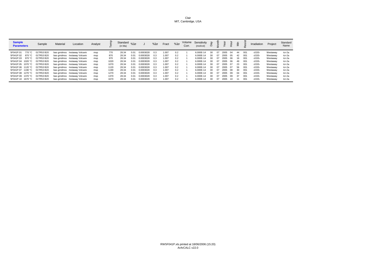| <b>Sample</b><br><b>Parameters</b> | Sample     | Material | Location                      | Analyst |      | Standard $\%1\sigma$<br>(in Ma) |      |           | $%1\sigma$ | Fract | $%1\sigma$ | Corr. | Volume Sensitivity<br>(mol/vol) | ਨੇ  |     |      |     |     |     | Irradiation | Project  | Standard<br>Name |
|------------------------------------|------------|----------|-------------------------------|---------|------|---------------------------------|------|-----------|------------|-------|------------|-------|---------------------------------|-----|-----|------|-----|-----|-----|-------------|----------|------------------|
| 5F041P.01<br>770 °C                | 01TR53 B20 |          | bas grndmss /estaway Volcani  | msp     | 770  | 28.34                           |      | 0.0003028 | 0.3        | 1.007 | 0.2        |       | 6.000E-14                       | 30  | D7  | 2005 | 04  | 44  | 001 | cl155-      | Westaway | tcr-2a           |
| 5F041P.02<br>870 °C                | 01TR53 B20 |          | bas grndmss /estaway Volcani  | msp     | 870  | 28.34                           | 0.01 | 0.0003028 | 0.3        | 1.007 | 0.2        |       | 6.000E-14                       | 30  | D7  | 2005 | 05  | 42  | 001 | cl155-      | Westaway | tcr-2a           |
| 5F041P.03<br>970 °C                | 01TR53 B20 |          | bas grndmss /estaway Volcani  | msp     | 970  | 28.34                           |      | 0.0003028 | 0.3        | 1.007 | 0.2        |       | 6.000E-14                       | 30  | 07  | 2005 | 06  |     | 001 | cl155-      | Westaway | tcr-2a           |
| 5F041P.04 1020 °C                  | 01TR53 B20 |          | bas grndmss /estaway Volcani  | msp     | 1020 | 28.34                           | 0.01 | 0.0003028 | 0.3        | 1.007 | 0.2        |       | 6.000E-14                       | 30. | 07. | 2005 | റഭ  | 49  | 001 | cl155-      | Westaway | tcr-2a           |
| 5F041P.05 1070 °C                  | 01TR53 B20 |          | bas grndmss /estaway Volcanio | msp     | 1070 | 28.34                           | 0.01 | 0.0003028 | 0.3        | 1.007 | 0.2        |       | 6.000E-14                       | 30  | 07  | 2005 | 07  | 23  | 001 | cl155-      | Westaway | tcr-2a           |
| 5F041P.06 1120 °C                  | 01TR53 B20 |          | bas grndmss /estaway Volcani  | msp     | 1120 | 28.34                           | 0.01 | 0.0003028 | 0.3        | 1.007 | 0.2        |       | 6.000E-14                       | 30  | 07  | 2005 | 07  | 56  | 001 | cl155-      | Westaway | tcr-2a           |
| 5F041P.07 1190 °C                  | 01TR53 B20 |          | bas grndmss /estaway Volcani  | msp     | 1190 | 28.34                           | 0.01 | 0.0003028 | 0.3        | 1.007 | 0.2        |       | 6.000E-14                       | 30  | 07  | 2005 | -08 | 30. | 001 | cl155-      | Westaway | tcr-2a           |
| 5F041P.08 1270 °C                  | 01TR53 B20 |          | bas grndmss /estaway Volcani  | msp     | 1270 | 28.34                           | 0.01 | 0.0003028 | 0.3        | 1.007 | 0.2        |       | 6.000E-14                       | 30  | n7  | 2005 | 09  | 04  | 001 | cl155-      | Westaway | tcr-2a           |
| 5F041P.09 1370 °C                  | 01TR53 B20 |          | bas grndmss /estaway Volcani  | msp     | 1370 | 28.34                           | 0.01 | 0.0003028 | 0.3        | 1.007 | 0.2        |       | 6.000E-14                       | 30  | n7  | 2005 | 09  | 37  | 001 | cl155-      | Westaway | $tor-2a$         |
| 5F041P.10 1670 °C                  | 01TR53 B20 |          | bas grndmss /estaway Volcani  | msp     | 1670 | 28.34                           | 0.01 | 0.0003028 | 0.3        | 1.007 | 0.2        |       | 6.000E-14                       | 30. | D7  | 2005 |     |     | 001 | cl155-      | Westaway | tcr-2a           |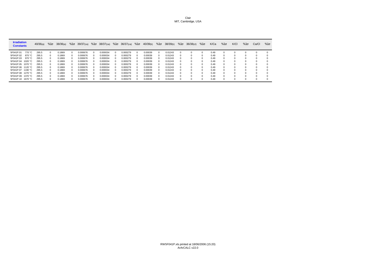| <b>Irradiation</b><br><b>Constants</b> | $40/36(a)$ %10 |          | 38/36(a) | $%1\sigma$ | 39/37(ca) | $%1\sigma$ | $38/37$ (ca) %10 |          | 36/37(ca) | $%1\sigma$ | 40/39(k) | $%1\sigma$ | 38/39(k) | $%1\sigma$ | $36/38$ (cl) | $%1\sigma$   | K/Ca | $%1\sigma$ | K/CI     | $%1\sigma$ | Ca/Cl | $%1\sigma$ |
|----------------------------------------|----------------|----------|----------|------------|-----------|------------|------------------|----------|-----------|------------|----------|------------|----------|------------|--------------|--------------|------|------------|----------|------------|-------|------------|
| 5F041P.01<br>770 °C                    | 295.5          |          | 0.1869   |            | 0.000676  |            | 0.000034         | 0        | 0.000279  |            | 0.00039  |            | 0.01243  |            |              |              | 0.49 |            | $\Omega$ |            |       |            |
| 5F041P.02<br>870 °C                    | 295.5          | $\Omega$ | 0.1869   |            | 0.000676  |            | 0.000034         | $\Omega$ | 0.000279  |            | 0.00039  |            | 0.01243  |            |              | <sup>0</sup> | 0.49 |            | $\Omega$ |            |       |            |
| 5F041P.03<br>970 $°C$                  | 295.5          | $\Omega$ | 0.1869   |            | 0.000676  |            | 0.000034         | 0        | 0.000279  |            | 0.00039  |            | 0.01243  |            |              |              | 0.49 |            | $\Omega$ |            |       |            |
| 5F041P.04<br>1020 °C                   | 295.5          |          | 0.1869   |            | 0.000676  |            | 0.000034         | $\Omega$ | 0.000279  |            | 0.00039  |            | 0.01243  |            | 0            |              | 0.49 |            | $\Omega$ |            |       |            |
| 5F041P.05 1070 °C                      | 295.5          | $\Omega$ | 0.1869   |            | 0.000676  |            | 0.000034         | $\Omega$ | 0.000279  |            | 0.00039  |            | 0.01243  |            | 0            | <sup>o</sup> | 0.49 |            | $\Omega$ | -0         |       | $\Omega$   |
| 5F041P.06 1120 °C                      | 295.5          | $\Omega$ | 0.1869   |            | 0.000676  |            | 0.000034         | $\Omega$ | 0.000279  |            | 0.00039  |            | 0.01243  |            |              | $\Omega$     | 0.49 |            | $\Omega$ |            |       |            |
| 5F041P.07<br>1190 °C                   | 295.5          |          | 0.1869   |            | 0.000676  |            | 0.000034         | $\Omega$ | 0.000279  |            | 0.00039  |            | 0.01243  |            | $\Omega$     | $\Omega$     | 0.49 |            | $\Omega$ |            |       |            |
| 5F041P.08 1270 °C                      | 295.5          | $\Omega$ | 0.1869   |            | 0.000676  |            | 0.000034         | $\Omega$ | 0.000279  |            | 0.00039  |            | 0.01243  |            | n            | <sup>0</sup> | 0.49 |            | $\Omega$ |            |       |            |
| 5F041P.09<br>1370 °C                   | 295.5          | $\Omega$ | 0.1869   |            | 0.000676  |            | 0.000034         | 0        | 0.000279  |            | 0.00039  |            | 0.01243  |            |              |              | 0.49 |            | $\Omega$ |            |       |            |
| 5F041P.10 1670 °C                      | 295.5          |          | 0.1869   |            | 0.000676  |            | 0.000034         | $\Omega$ | 0.000279  |            | 0.00039  |            | 0.01243  |            | 0            |              | 0.49 |            |          |            |       |            |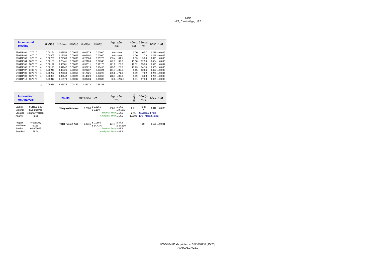| <b>Incremental</b><br><b>Heating</b> |         |                  | 36Ar(a) | $37Ar$ (ca) | $38Ar$ (cl) | 39Ar(k) | 40Ar(r) | Age $\pm 2\sigma$<br>(Ma) | $40Ar(r)$ 39 $Ar(k)$<br>$(\% )$ | $(\%)$ | K/Ca $\pm 2\sigma$ |
|--------------------------------------|---------|------------------|---------|-------------|-------------|---------|---------|---------------------------|---------------------------------|--------|--------------------|
| 5F041P.01                            | 770 °C  |                  | 0.00184 | 0.02858     | 0.00008     | 0.01279 | 0.00000 | $0.0 + 0.0$               | 0.00                            | 0.57   | $0.219 + 0.005$    |
| 5F041P.02                            | 870 °C  |                  | 0.00307 | 0.12059     | 0.00022     | 0.06102 | 0.00000 | $0.0 + 0.0$               | 0.00                            | 2.73   | $0.248 + 0.003$    |
| 5F041P.03                            | 970 °C  | $\boldsymbol{4}$ | 0.00280 | 0.27188     | 0.00000     | 0.20560 | 0.05773 | $153.4 + 64.1$            | 6.53                            | 9.20   | $0.371 + 0.005$    |
| 5F041P.04                            | 1020 °C | $\boldsymbol{4}$ | 0.00188 | 0.28441     | 0.00000     | 0.28109 | 0.07345 | $142.7 \pm 33.6$          | 11.68                           | 12.58  | $0.484 + 0.006$    |
| 5F041P.05                            | 1070 °C | $\boldsymbol{4}$ | 0.00172 | 0.33381     | 0.00000     | 0.35511 | 0.11178 | $171.9 + 28.0$            | 18.02                           | 15.90  | $0.521 \pm 0.007$  |
| 5F041P.06                            | 1120 °C | $\boldsymbol{4}$ | 0.00170 | 0.31942     | 0.00005     | 0.32919 | 0.10458 | $173.5 + 28.8$            | 17.23                           | 14.74  | $0.505 + 0.006$    |
| 5F041P.07                            | 1190 °C | 4                | 0.00246 | 0.32426     | 0.00015     | 0.28237 | 0.07324 | $141.7 + 35.6$            | 9.15                            | 12.64  | $0.427 + 0.005$    |
| 5F041P.08                            | 1270 °C | $\boldsymbol{4}$ | 0.00267 | 0.29869     | 0.00015     | 0.17021 | 0.04225 | $135.6 \pm 71.0$          | 5.09                            | 7.62   | $0.279 \pm 0.004$  |
| 5F041P.09                            | 1370 °C | 4                | 0.00359 | 0.30642     | 0.00025     | 0.14929 | 0.04063 | $148.7 + 88.3$            | 3.69                            | 6.68   | $0.239 + 0.003$    |
| 5F041P.10                            | 1670 °C |                  | 0.03814 | 6.18170     | 0.00092     | 0.38704 | 0.05833 | $82.3 \pm 262.0$          | 0.51                            | 17.33  | $0.031 \pm 0.000$  |

Σ 0.05986 8.46975 0.00182 2.23372 0.56198

| <b>Information</b><br><b>on Analysis</b>                                                         | <b>Results</b>          | $40(r)/39(k) \pm 2\sigma$       | Age $\pm 2\sigma$<br>(Ma)                                                           | MSWD                   | 39Ar(k)<br>(%, n)            | $K/Ca \pm 2\sigma$                              |
|--------------------------------------------------------------------------------------------------|-------------------------|---------------------------------|-------------------------------------------------------------------------------------|------------------------|------------------------------|-------------------------------------------------|
| Sample<br>01TR53 B20<br>Material<br>bas grndmss<br>estaway Volcani<br>Location<br>Analyst<br>msp | <b>Weighted Plateau</b> | ± 0.0266<br>0.2906<br>± 9.16%   | $158.7$ $\pm$ 14.6<br>$+9.18%$<br>External Error + 14.6<br>Analytical Error ± 14.5  | 0.71<br>2.45<br>1.0000 | 79.37<br>Statistical T ratio | $0.342 \pm 0.085$<br><b>Error Magnification</b> |
| Project<br>Westaway<br>Irradiation<br>cl155-<br>0.0003028<br>J-value<br>28.34<br>Standard        | <b>Total Fusion Age</b> | ± 0.0866<br>0.2516<br>$+34.41%$ | $137.4 \pm 47.3$<br>$+34.41%$<br>External Error + 47.3<br>Analytical Error $±$ 47.3 |                        | 10                           | $0.129 + 0.001$                                 |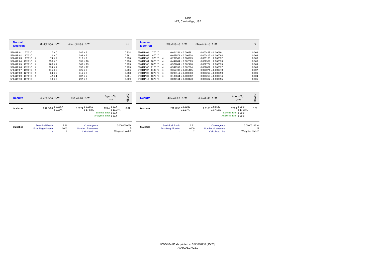| <b>Normal</b><br><b>Isochron</b> | $39(k)/36(a) \pm 2\sigma$ | $40(a+r)/36(a) \pm 2\sigma$ | r.i.  | <b>Inverse</b><br><b>Isochron</b> | $39(k)/40(a+r) \pm 2\sigma$ | $36(a)/40(a+r) \pm 2\sigma$ | r.i.  |
|----------------------------------|---------------------------|-----------------------------|-------|-----------------------------------|-----------------------------|-----------------------------|-------|
| 5F041P.01<br>770 °C              | $7 \pm 0$                 | $287 \pm 8$                 | 0.924 | 5F041P.01<br>770 °C               | $0.024251 \pm 0.000291$     | $0.003489 + 0.000101$       | 0.008 |
| 5F041P.02<br>870 °C              | $20 \pm 0$                | $293 + 7$                   | 0.981 | 5F041P.02<br>870 °C               | $0.067974 + 0.000328$       | $0.003415 + 0.000084$       | 0.008 |
| 5F041P.03<br>970 °C 4            | $74 \pm 2$                | $316 \pm 9$                 | 0.990 | 5F041P.03<br>970 °C 4             | $0.232567 + 0.000979$       | $0.003163 + 0.000092$       | 0.006 |
| 5F041P.04 1020 °C 4              | $150 \pm 5$               | $335 \pm 10$                | 0.990 | 5F041P.04<br>1020 °C $\cdot$ 4    | $0.447084 + 0.002023$       | $0.002989 + 0.000093$       | 0.008 |
| 5F041P.05 1070 °C 4              | $206 \pm 7$               | $360 \pm 13$                | 0.993 | 5F041P.05 1070 °C 4               | $0.572604 + 0.002470$       | $0.002774 \pm 0.000099$     | 0.009 |
| 5F041P.06 1120 °C 4              | $194 + 7$                 | $357 + 12$                  | 0.993 | 5F041P.06 1120 °C 4               | $0.542397 + 0.002304$       | $0.002801 + 0.000097$       | 0.003 |
| 5F041P.07 1190 °C 4              | $115 \pm 3$               | $325 \pm 8$                 | 0.986 | 5F041P.07 1190 °C 4               | $0.352732 + 0.001485$       | $0.003074 + 0.000078$       | 0.007 |
| 5F041P.08 1270 °C 4              | $64 \pm 2$                | $311 \pm 9$                 | 0.988 | 5F041P.08 1270 °C 4               | $0.205111 + 0.000883$       | $0.003212 + 0.000090$       | 0.006 |
| 5F041P.09 1370 °C 4              | $42 \pm 1$                | $307 + 7$                   | 0.981 | 5F041P.09 1370 °C 4               | $0.135664 + 0.000612$       | $0.003259 + 0.000074$       | 0.004 |
| 5F041P.10 1670 °C                | $10 \pm 0$                | $297 \pm 5$                 | 0.969 | 5F041P.10<br>1670 °C              | $0.034164 \pm 0.000143$     | $0.003367 + 0.000055$       | 0.005 |

| <b>Results</b>    | $40(a)/36(a) \pm 2\sigma$                                      |                | $40(r)/39(k) \pm 2\sigma$                                     | Age $\pm 2\sigma$<br>(Ma)                                                            | g<br>ŠM                         | <b>Results</b>    | $40(a)/36(a) \pm 2\sigma$                                |                | $40(r)/39(k) \pm 2\sigma$                                     | Age $\pm 2\sigma$<br>(Ma)                                                            | 6                               |
|-------------------|----------------------------------------------------------------|----------------|---------------------------------------------------------------|--------------------------------------------------------------------------------------|---------------------------------|-------------------|----------------------------------------------------------|----------------|---------------------------------------------------------------|--------------------------------------------------------------------------------------|---------------------------------|
| <b>Isochron</b>   | $291.7459 \pm 6.6557$                                          | ± 2.28%        | $0.3174 \pm 0.0556$<br>± 17.53%                               | $173.4 \pm 30.4$<br>± 17.54%<br>External Error $\pm 30.4$<br>Analytical Error ± 30.4 | 0.61                            | Isochron          | $291.7252 \pm 6.6233$                                    | ± 2.27%        | $0.3183 \pm 0.0545$<br>± 17.12%                               | $173.9 \pm 29.8$<br>± 17.13%<br>External Error $\pm 29.8$<br>Analytical Error ± 29.8 | 0.60                            |
| <b>Statistics</b> | <b>Statistical F ratio</b><br><b>Error Magnification</b><br>n. | 2.21<br>1.0000 | Convergence<br>Number of Iterations<br><b>Calculated Line</b> |                                                                                      | 0.0000000066<br>Weighted York-2 | <b>Statistics</b> | <b>Statistical F ratio</b><br><b>Error Magnification</b> | 2.21<br>1.0000 | Convergence<br>Number of Iterations<br><b>Calculated Line</b> |                                                                                      | 0.0000014616<br>Weighted York-2 |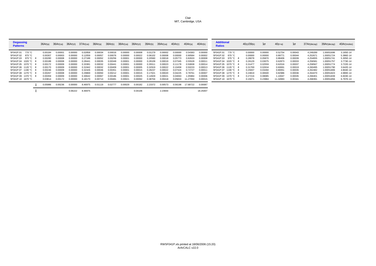| <b>Degassing</b><br><b>Patterns</b> | 36Ar(a) | 36Ar(ca) | 36Ar(cl) | 37Ar(ca) | 38Ar(a) | 38Ar(k) | $38Ar$ (ca) | 38Ar(cl) | 39Ar(k) | $39Ar$ (ca) | 40Ar(r) | 40Ar(a)  | 40Ar(k)  | <b>Additional</b><br><b>Ratios</b> | 40(r)/39(k) | $1\sigma$ | $40(r+a)$ | $1\sigma$ | 37Ar(decay) | 39Ar(decay) | 40Ar(moles) |
|-------------------------------------|---------|----------|----------|----------|---------|---------|-------------|----------|---------|-------------|---------|----------|----------|------------------------------------|-------------|-----------|-----------|-----------|-------------|-------------|-------------|
| 5F041P.01 770 °C                    | 0.00184 | 0.00001  | 0.00000  | 0.02858  | 0.00034 | 0.00016 | 0.00000     | 0.00008  | 0.01279 | 0.00002     | 0.00000 | 0.54383  | 0.00000  | 5F041P.01 770 °C                   | 0.00000     | 0.00000   | 0.52754   | 0.00043   | 4.249289    | 1.00051696  | 3.165E-14   |
| 5F041P.02 870 °C                    | 0.00307 | 0.00003  | 0.00000  | 0.12059  | 0.00057 | 0.00076 | 0.00000     | 0.00022  | 0.06102 | 0.00008     | 0.00000 | 0.90584  | 0.00002  | 5F041P.02 870 °C                   | 0.00000     | 0.00000   | 0.89771   | 0.00044   | 4.252671    | 1.00051724  | 5.386E-14   |
| 5F041P.03 970 °C 4                  | 0.00280 | 0.00008  | 0.00000  | 0.27188  | 0.00052 | 0.00256 | 0.0000      | 0.00000  | 0.20560 | 0.00018     | 0.05773 | 0.82633  | 0.00008  | 5F041P.03 970 °C 4                 | 0.28078     | 0.05870   | 0.88406   | 0.00039   | 4.254655    | 1.00051741  | 5.305E-14   |
| 5F041P.04 1020 °C 4                 | 0.00188 | 0.00008  | 0.00000  | 0.28441  | 0.00035 | 0.00349 | 0.0000      | 0.00000  | 0.28109 | 0.00019     | 0.07345 | 0.55528  | 0.00011  | 5F041P.04 1020 °C 4                | 0.26129     | 0.03075   | 0.62873   | 0.00033   | 4.256581    | 1.00051757  | 3.773E-14   |
| 5F041P.05 1070 °C 4                 | 0.00172 | 0.00009  | 0.00000  | 0.3338'  | 0.00032 | 0.00441 | 0.0000      | 0.00000  | 0.3551  | 0.00023     | 0.11178 | 0.50838  | 0.00014  | 5F041P.05 1070 °C 4                | 0.31477     | 0.02559   | 0.62016   | 0.00037   | 4.258567    | 1.00051774  | 3.722E-14   |
| 5F041P.06 1120 °C 4                 | 0.00170 | 0.00009  | 0.00000  | 0.31942  | 0.00032 | 0.00409 | 0.0000      | 0.00005  | 0.3291  | 0.00022     | 0.10458 | 0.50233  | 0.00013  | 5F041P.06 1120 °C 4                | 0.31769     | 0.02634   | 0.60691   | 0.00019   | 4.260495    | 1.00051790  | 3.642E-14   |
| 5F041P.07 1190 °C 4                 | 0.00246 | 0.00009  | 0.00000  | 0.32426  | 0.00046 | 0.0035' | 0.0000      | 0.00015  | 0.28237 | 0.00022     | 0.07324 | 0.72727  | 0.00011  | 5F041P.07 1190 °C 4                | 0.25937     | 0.03260   | 0.80051   | 0.00035   | 4.262482    | 1.00051806  | 4.804E-14   |
| 5F041P.08 1270 °C 4                 | 0.00267 | 0.00008  | 0.00000  | 0.29869  | 0.00050 | 0.00212 | 0.0000      | 0.00015  | 0.1702  | 0.00020     | 0.04225 | 0.78761  | 0.00007  | 5F041P.08 1270 °C 4                | 0.24819     | 0.06500   | 0.82986   | 0.00036   | 4.264470    | 1.00051823  | 4.980E-14   |
| 5F041P.09 1370 °C 4                 | 0.00359 | 0.00009  | 0.00000  | 0.30642  | 0.00067 | 0.00186 | 0.0000      | 0.00025  | 0.14929 | 0.00021     | 0.04063 | 1.05984  | 0.00006  | 5F041P.09 1370 °C 4                | 0.27216     | 0.08085   | 1.10047   | 0.00035   | 4.266401    | 1.00051839  | 6.603E-14   |
| 5F041P.10 1670 °C                   | 0.03814 | 0.00172  | 0.00000  | 6.18170  | 0.00713 | 0.00481 | 0.0002      | 0.00092  | 0.38704 | 0.00418     | 0.05833 | 11.27050 | 0.00015  | 5F041P.10 1670 °C                  | 0.15071     | 0.23984   | 11.32883  | 0.00341   | 4.268391    | 1.00051856  | 6.797E-13   |
|                                     | 0.05986 | 0.00236  | 0.00000  | 8.46975  | 0.01119 | 0.02777 | 0.00029     | 0.00182  | 2.23372 | 0.00573     | 0.56198 | 17.68722 | 0.00087  |                                    |             |           |           |           |             |             |             |
|                                     |         |          | 0.06222  | 8.46975  |         |         |             | 0.04106  |         | 2.23944     |         |          | 18.25007 |                                    |             |           |           |           |             |             |             |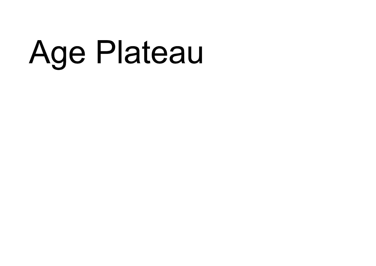## Age Plateau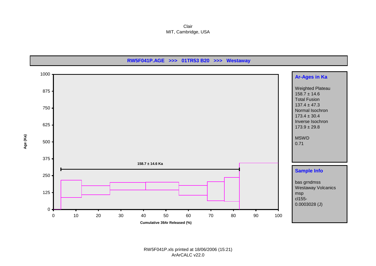Clair MIT, Cambridge, USA



RW5F041P.xls printed at 18/06/2006 (15:21) ArArCALC v22.0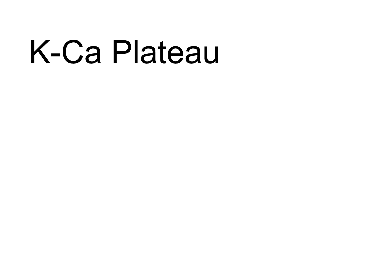## K-Ca Plateau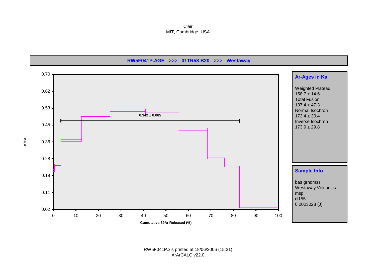Clair MIT, Cambridge, USA

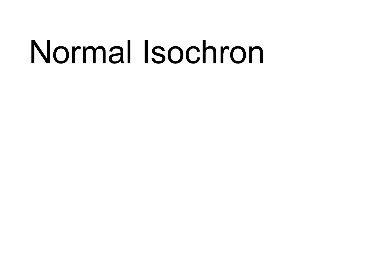## Normal Isochron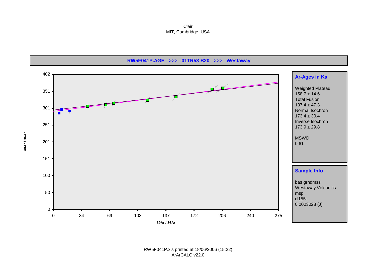Clair MIT, Cambridge, USA

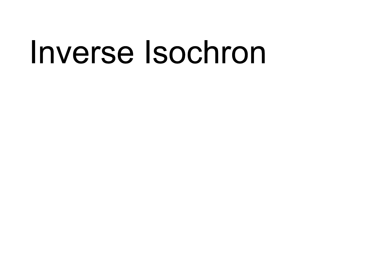### Inverse Isochron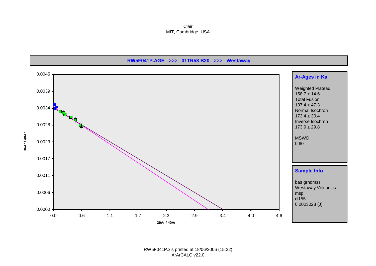Clair MIT, Cambridge, USA

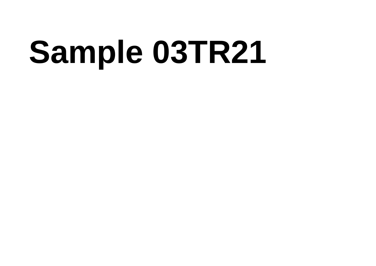# **Sample 03TR21**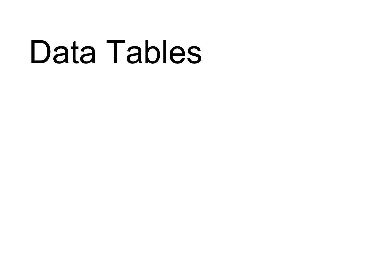### Data Tables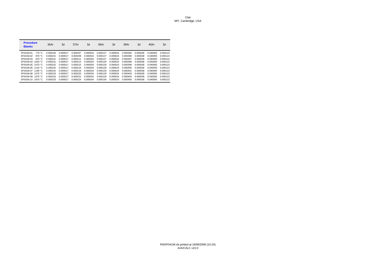| <b>Procedure</b><br><b>Blanks</b> |                  | 36Ar     | $1\sigma$ | 37Ar     | $1\sigma$ | 38Ar     | $1\sigma$ | 39Ar     | $1\sigma$ | 40Ar     | $1\sigma$ |
|-----------------------------------|------------------|----------|-----------|----------|-----------|----------|-----------|----------|-----------|----------|-----------|
| 5F041M.01                         | 770 °C           | 0.000230 | 0.000017  | 0.000207 | 0.000034  | 0.000127 | 0.000024  | 0.000394 | 0.000038  | 0.040000 | 0.000122  |
| 5F041M.02                         | 870 °C           | 0.000231 | 0.000017  | 0.000209 | 0.000034  | 0.000127 | 0.000024  | 0.000396 | 0.000038  | 0.040000 | 0.000122  |
| 5F041M.03                         | 970 °C           | 0.000231 | 0.000017  | 0.000211 | 0.000034  | 0.000127 | 0.000024  | 0.000397 | 0.000038  | 0.040000 | 0.000122  |
| 5F041M.04                         | 1020 $°C$        | 0.000231 | 0.000017  | 0.000213 | 0.000034  | 0.000128 | 0.000024  | 0.000398 | 0.000038  | 0.040000 | 0.000122  |
| 5F041M.05                         | 1070 $°C$        | 0.000232 | 0.000017  | 0.000215 | 0.000034  | 0.000128 | 0.000024  | 0.000399 | 0.000038  | 0.040000 | 0.000122  |
| 5F041M.06 1120 °C                 |                  | 0.000232 | 0.000017  | 0.000216 | 0.000034  | 0.000128 | 0.000024  | 0.000400 | 0.000038  | 0.040000 | 0.000122  |
| 5F041M.07                         | 1190 $\degree$ C | 0.000232 | 0.000017  | 0.000218 | 0.000034  | 0.000129 | 0.000024  | 0.000401 | 0.000038  | 0.040000 | 0.000122  |
| 5F041M.08                         | 1270 $°C$        | 0.000233 | 0.000017  | 0.000220 | 0.000034  | 0.000129 | 0.000024  | 0.000403 | 0.000038  | 0.040000 | 0.000122  |
| 5F041M.09                         | 1370 $°C$        | 0.000233 | 0.000017  | 0.000222 | 0.000034  | 0.000129 | 0.000024  | 0.000404 | 0.000038  | 0.040000 | 0.000122  |
| 5F041M.10                         | 1670 $°C$        | 0.000233 | 0.000017  | 0.000224 | 0.000034  | 0.000130 | 0.000024  | 0.000405 | 0.000038  | 0.040000 | 0.000122  |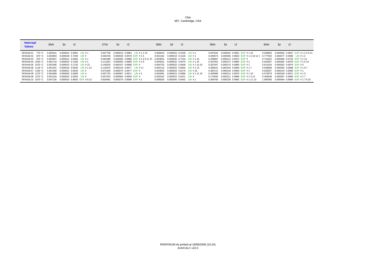### RW5F041M.xls printed at 18/06/2006 (15:24) ArArCALC v22.0

| <b>Intercept</b><br><b>Values</b> | 36Ar     | $1\sigma$                   | r2 | 37Ar     | lσ | r2                                  | 38Ar     | $1\sigma$                              | r2 |                                   | 39Ar     | $1\sigma$ | r2                                  | 40Ar     | $1\sigma$ | r2                          |
|-----------------------------------|----------|-----------------------------|----|----------|----|-------------------------------------|----------|----------------------------------------|----|-----------------------------------|----------|-----------|-------------------------------------|----------|-----------|-----------------------------|
| 770 °C<br>5F041M.01               | 0.002041 | $0.000022$ $0.5804$ LIN # 1 |    | 0.007738 |    | 0.000015 0.0864 LIN #1215           | 0.000643 | 0.000034 0.0106 LIN #1                 |    |                                   | 0.007625 |           | 0.000042 0.9951 EXP #115            | 0.558655 |           | 0.000593 0.9837 EXP #124911 |
| 5F041M.02 870 °C                  | 0.002803 | $0.000029$ $0.7290$ LIN #   |    | 0.036700 |    | 0.000039 0.9978 EXP #15             |          | $0.001302$ $0.000019$ $0.4134$ LIN #1  |    |                                   | 0.049973 |           | 0.000056 0.9834 EXP #131012         | 0.777945 |           | 0.000377 0.0080 LIN #12     |
| 5F041M.03 970 °C                  | 0.002307 | $0.000012$ $0.8366$ LIN # 1 |    | 0.091589 |    | 0.000095 0.9986 EXP #1691115        | 0.003054 |                                        |    | 0.000030 0.7234 LIN #115          | 0.209897 |           | $0.000214$ $0.9972$ EXP #           | 0.741652 |           | 0.000366 0.9744 EXP #114    |
| 5F041M.04 1020 °C                 | 0.001719 | $0.000023$ $0.1339$ LIN # 1 |    |          |    | 0.111823 0.000093 0.9989 EXP #18    |          |                                        |    | 0.004015 0.000032 0.8470 LIN #115 | 0.297452 |           | 0.000272 0.9982 EXP #1              | 0.628357 |           | 0.000282 0.9978 EXP #1610   |
| 5F041M.05 1070 °C                 | 0.001566 | 0.000015 0.1735 LIN #13     |    |          |    | 0.146203  0.000107  0.9989  EXP  #  | 0.004753 |                                        |    | 0.000025 0.9406 LIN #11415        | 0.357047 |           | 0.000176 0.9995 EXP #1              | 0.614324 |           | $0.000302$ $0.9974$ EXP #5  |
| 5F041M.06 1120 °C                 | 0.001431 | 0.000018 0.0035 LIN #113    |    |          |    | 0.116670 0.000129 0.9977 LIN #11    | 0.004110 |                                        |    | 0.000025 0.8904 LIN # 1 13        | 0.306541 |           | 0.000156 0.9995 EXP #17             | 0.558668 |           | 0.000282 0.9988 EXP #167    |
| 5F041M.07 1190 °C                 | 0.001490 | $0.000021$ $0.0026$ LIN #   |    |          |    | 0.074359 0.000074 0.9977 EXP #      | 0.003603 | 0.000033 0.8175 LIN #15                |    |                                   | 0.260721 |           | $0.000146$ 0.9993 EXP #1            | 0.553057 |           | 0.000154 0.9995 EXP #1      |
| 5F041M.08 1270 °C                 | 0.001689 | $0.000020$ $0.0908$ LIN #   |    |          |    | 0.057733 0.000067 0.9971 LIN #1     | 0.002991 |                                        |    | 0.000015 0.9086 LIN #11115        | 0.205999 |           | $0.000214$ 0.9976 EXP #110          | 0.575979 |           | $0.000349$ 0.9971 EXP #15   |
| 5F041M.09 1370 °C                 | 0.001334 | $0.000022$ $0.0260$ LIN #   |    | 0.057524 |    | 0.000084 0.9950 EXP #               | 0.002542 | $0.000022$ $0.6421$ LIN #              |    |                                   | 0.174835 |           | 0.000121 0.9990 EXP #1314           | 0.455636 |           | 0.000287 0.9990 EXP #17     |
| 5F041M.10 1670 °C                 | 0.007130 | 0.000016 0.9833 EXP #913    |    |          |    | 0.926481  0.000270  0.9999  EXP  #1 |          | $0.006026$ $0.000040$ $0.8442$ LIN # 1 |    |                                   |          |           | 0.369766 0.000230 0.9992 EXP #11113 | 1.995365 |           | 0.000494 0.9994 EXP #17915  |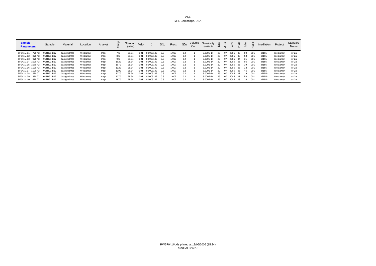| <b>Sample</b><br><b>Parameters</b> | Sample     | Material    | Location | Analyst |      | Standard $\%$ 10<br>(in Ma) |      |           | $%1\sigma$ | Fract | $%1\sigma$ | Volume<br>Corr. | Sensitivity<br>(mol/vol) | ਨ਼<br>≏ |    |      |     |    |     | Irradiation | Project  | Standard<br>Name |
|------------------------------------|------------|-------------|----------|---------|------|-----------------------------|------|-----------|------------|-------|------------|-----------------|--------------------------|---------|----|------|-----|----|-----|-------------|----------|------------------|
| 5F041M.01<br>770 °C                | 01TR21 B17 | bas grndmss | Westaway | msp     | 770  | 28.34                       | 0.01 | 0.0003142 | 0.3        | 1.007 | 0.2        |                 | 6.000E-14                | 29      | 07 | 2005 |     |    | 001 | cl155-      | Westaway | tcr-2a           |
| 5F041M.02<br>870 °C                | 01TR21 B17 | bas grndmss | Westaway | msp     | 870  | 28.34                       | 0.01 | 0.0003142 | 0.3        | 1.007 | 0.2        |                 | 6.000E-14                | 29      | 07 | 2005 | 03  | 58 | 001 | cl155-      | Westaway | $tcr-2a$         |
| 5F041M.03<br>970 °C                | 01TR21 B17 | bas orndmss | Westaway | msp     | 970  | 28.34                       | 0.01 | 0.0003142 | 0.3        | 1.007 | 0.2        |                 | 6.000E-14                | 29      | 07 | 2005 | 04  | 31 | 001 | cl155-      | Westaway | tcr-2a           |
| 5F041M.04 1020 °C                  | 01TR21 B17 | bas grndmss | Westaway | msp     | 1020 | 28.34                       | 0.01 | 0.0003142 | 0.3        | 1.007 | 0.2        |                 | 6.000E-14                | 29      | 07 | 2005 | 05  | 05 | 001 | cl155-      | Westaway | tcr-2a           |
| 5F041M.05 1070 °C                  | 01TR21 B17 | bas grndmss | Westaway | msp     | 1070 | 28.34                       | 0.01 | 0.0003142 | 0.3        | 1.007 | 0.2        |                 | 6.000E-14                | 29      | 07 | 2005 | 05  | 39 | 001 | cl155-      | Westaway | tcr-2a           |
| 5F041M.06 1120 °C                  | 01TR21 B17 | bas grndmss | Westaway | msp     | 1120 | 28.34                       | 0.01 | 0.0003142 | 0.3        | 1.007 | 0.2        |                 | 6.000E-14                | 29      | 07 | 2005 | -06 | 12 | 001 | cl155-      | Westaway | tcr-2a           |
| 5F041M.07 1190 °C                  | 01TR21 B17 | bas grndmss | Westaway | msp     | 1190 | 28.34                       | 0.01 | 0.0003142 | 0.3        | 1.007 | 0.2        |                 | 6.000E-14                | 29      | 07 | 2005 | 06  | 46 | 001 | cl155-      | Westaway | $tcr-2a$         |
| 5F041M.08 1270 °C                  | 01TR21 B17 | bas grndmss | Westaway | msp     | 1270 | 28.34                       | 0.01 | 0.0003142 | 0.3        | 1.007 | 0.2        |                 | 6.000E-14                | 29      | 07 | 2005 |     | 19 | 001 | cl155-      | Westaway | $tcr-2a$         |
| 5F041M.09 1370 °C                  | 01TR21 B17 | bas grndmss | Westaway | msp     | 1370 | 28.34                       | 0.01 | 0.0003142 | 0.3        | 1.007 | 0.2        |                 | 6.000E-14                | 29      | 07 | 2005 |     | 53 | 001 | cl155-      | Westaway | $tcr-2a$         |
| 5F041M.10 1670 °C                  | 01TR21 B17 | bas grndmss | Westaway | msp     | 1670 | 28.34                       | 0.01 | 0.0003142 | 0.3        | 1.007 | 0.2        |                 | 6.000E-14                | 29      | 07 | 2005 | 08  | 26 | 001 | cl155-      | Westaway | $tcr-2a$         |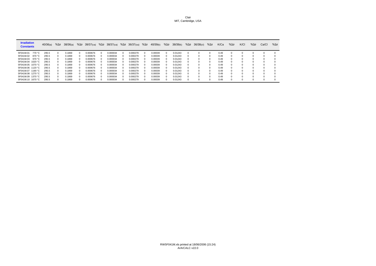| <b>Irradiation</b><br><b>Constants</b> | 40/36(a) | $%1\sigma$   | 38/36(a) | $%1\sigma$ | 39/37(ca) |              | $%1\sigma$ 38/37(ca) | $%1\sigma$ | $36/37$ (ca) | $%1\sigma$ | 40/39(k) | $%1\sigma$ | 38/39(k) | $%1\sigma$ | $36/38$ (cl) | $%1\sigma$ | K/Ca | $%1\sigma$ | K/CI       | $%1\sigma$ | Ca/Cl | $%1\sigma$ |
|----------------------------------------|----------|--------------|----------|------------|-----------|--------------|----------------------|------------|--------------|------------|----------|------------|----------|------------|--------------|------------|------|------------|------------|------------|-------|------------|
| 5F041M.01<br>770 °C                    | 295.5    |              | 0.1869   | $\Omega$   | 0.000676  | 0            | 0.000034             |            | 0.000279     |            | 0.00039  | $^{\circ}$ | 0.01243  |            |              |            | 0.49 |            | 0          | 0          |       |            |
| 5F041M.02<br>870 °C                    | 295.5    |              | 0.1869   | $\Omega$   | 0.000676  | <sup>0</sup> | 0.000034             | $\Omega$   | 0.000279     |            | 0.00039  |            | 0.01243  |            | $\Omega$     | $\Omega$   | 0.49 |            | $^{\circ}$ | O          |       |            |
| 5F041M.03<br>970 °C                    | 295.5    |              | 0.1869   | $^{\circ}$ | 0.000676  | 0            | 0.000034             |            | 0.000279     |            | 0.00039  |            | 0.01243  |            |              |            | 0.49 |            | 0          |            |       |            |
| 5F041M.04<br>1020 °C                   | 295.5    |              | 0.1869   | $\Omega$   | 0.000676  | 0            | 0.000034             | $\Omega$   | 0.000279     |            | 0.00039  |            | 0.01243  |            | $\Omega$     | O          | 0.49 |            | $\Omega$   | $\Omega$   |       |            |
| 5F041M.05<br>1070 $°C$                 | 295.5    |              | 0.1869   | $\Omega$   | 0.000676  | 0            | 0.000034             | $\Omega$   | 0.000279     |            | 0.00039  | o          | 0.01243  |            | $\Omega$     | $\Omega$   | 0.49 |            | $\Omega$   | $\Omega$   |       |            |
| 5F041M.06 1120 °C                      | 295.5    |              | 0.1869   | $\Omega$   | 0.000676  | 0            | 0.000034             |            | 0.000279     |            | 0.00039  |            | 0.01243  |            | $\Omega$     |            | 0.49 |            | 0          | $\Omega$   |       |            |
| 5F041M.07 1190 °C                      | 295.5    |              | 0.1869   | $\Omega$   | 0.000676  | 0            | 0.000034             | $\Omega$   | 0.000279     |            | 0.00039  |            | 0.01243  |            | $\Omega$     | $\Omega$   | 0.49 |            | $\Omega$   | $\Omega$   |       |            |
| 5F041M.08 1270 °C                      | 295.5    | <sup>o</sup> | 0.1869   | $\Omega$   | 0.000676  | 0            | 0.000034             | $\Omega$   | 0.000279     |            | 0.00039  | o          | 0.01243  |            | $\Omega$     | $\Omega$   | 0.49 |            | $\Omega$   | $\Omega$   |       |            |
| 5F041M.09 1370 °C                      | 295.5    |              | 0.1869   | $\Omega$   | 0.000676  | 0            | 0.000034             |            | 0.000279     |            | 0.00039  | o          | 0.01243  |            | $\Omega$     |            | 0.49 |            | 0          | $\Omega$   |       |            |
| 5F041M.10 1670 °C                      | 295.5    |              | 0.1869   | $\Omega$   | 0.000676  | 0            | 0.000034             |            | 0.000279     |            | 0.00039  |            | 0.01243  |            |              |            | 0.49 |            |            | $\Omega$   |       |            |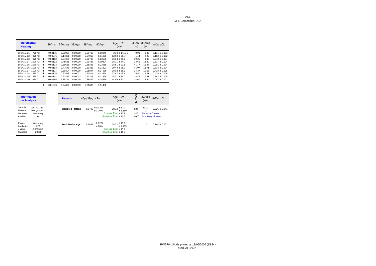| <b>Incremental</b><br><b>Heating</b>      | 36Ar(a) | $37Ar$ (ca) | $38Ar$ (cl) | 39Ar(k) | 40Ar(r) | Age $\pm 2\sigma$<br>(Ma) | 40Ar(r) 39Ar(k)<br>(%) | $(\%)$ | $K/Ca \pm 2\sigma$ |
|-------------------------------------------|---------|-------------|-------------|---------|---------|---------------------------|------------------------|--------|--------------------|
| 770 °C<br>5F041M.01                       | 0.00175 | 0.03069     | 0.00009     | 0.00716 | 0.00046 | $36.3 + 1415.5$           | 0.09                   | 0.32   | $0.114 + 0.003$    |
| 5F041M.02<br>870 °C                       | 0.00246 | 0.14881     | 0.00008     | 0.04916 | 0.01065 | $122.8 + 261.7$           | 1.44                   | 2.22   | $0.162 + 0.002$    |
| 5F041M.03<br>970 $°C$<br>$\boldsymbol{4}$ | 0.00192 | 0.37280     | 0.00000     | 0.20790 | 0.13550 | $369.4 + 41.6$            | 19.31                  | 9.38   | $0.273 + 0.004$    |
| 1020 °C<br>5F041M.04<br>$\boldsymbol{4}$  | 0.00132 | 0.45555     | 0.00000     | 0.29483 | 0.19824 | $381.1 + 34.0$            | 33.69                  | 13.30  | $0.317 + 0.004$    |
| 5F041M.05 1070 °C<br>4                    | 0.00113 | 0.59615     | 0.00000     | 0.35395 | 0.23988 | $384.1 + 22.8$            | 41.77                  | 15.97  | $0.291 + 0.004$    |
| 5F041M.06 1120 °C<br>4                    | 0.00103 | 0.47576     | 0.00000     | 0.30385 | 0.21303 | $397.4 + 28.2$            | 41.07                  | 13.71  | $0.313 + 0.004$    |
| 5F041M.07<br>1190 °C<br>4                 | 0.00114 | 0.30304     | 0.00000     | 0.25844 | 0.17636 | $386.8 + 36.1$            | 34.37                  | 11.66  | $0.418 + 0.005$    |
| 1270 °C<br>5F041M.08<br>$\boldsymbol{4}$  | 0.00135 | 0.23518     | 0.00002     | 0.20411 | 0.13674 | $379.7 \pm 45.6$          | 25.51                  | 9.21   | $0.425 + 0.006$    |
| 5F041M.09<br>1370 °C<br>4                 | 0.00101 | 0.23443     | 0.00003     | 0.17315 | 0.11825 | $387.1 + 54.0$            | 28.45                  | 7.81   | $0.362 + 0.005$    |
| 5F041M.10 1670 °C                         | 0.00565 | 3.79111     | 0.00010     | 0.36442 | 0.28539 | $443.9 \pm 53.0$          | 14.60                  | 16.44  | $0.047 + 0.001$    |

Σ 0.01876 6.64352 0.00033 2.21696 1.51450

| <b>Information</b><br><b>on Analysis</b> |                           | <b>Results</b> |                         | $40(r)/39(k) \pm 2\sigma$ |                                 | Age $\pm 2\sigma$<br>(Ma)                                   | MSWD   | 39Ar(k)<br>(%, n)          | $K/Ca \pm 2\sigma$         |
|------------------------------------------|---------------------------|----------------|-------------------------|---------------------------|---------------------------------|-------------------------------------------------------------|--------|----------------------------|----------------------------|
| Sample<br>Material                       | 03TR21 B17<br>bas grndmss |                | <b>Weighted Plateau</b> |                           | $0.6796 \pm 0.0224$<br>$+3.29%$ | $385.2 \pm 12.9$<br>± 3.35%                                 | 0.24   | 81.02                      | $0.326 \pm 0.041$          |
| Location                                 | Westaway                  |                |                         |                           |                                 | External Error + 12.9                                       | 2.45   | <b>Statistical T ratio</b> |                            |
| Analyst                                  | msp                       |                |                         |                           |                                 | Analytical Error ± 12.7                                     | 1.0000 |                            | <b>Error Magnification</b> |
| Project<br>Irradiation                   | Westaway<br>cl155-        |                | <b>Total Fusion Age</b> | 0.6831                    | ± 0.0277<br>± 4.06%             | $387.2 \begin{array}{l} \pm 15.9 \\ \pm 4.11\% \end{array}$ |        | 10                         | $0.164 \pm 0.001$          |
| J-value                                  | 0.0003142                 |                |                         |                           |                                 | External Error + 15.9                                       |        |                            |                            |
| Standard                                 | 28.34                     |                |                         |                           |                                 | Analytical Error ± 15.7                                     |        |                            |                            |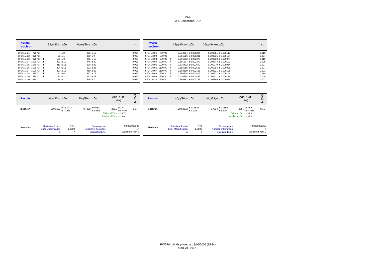| <b>Normal</b><br><b>Isochron</b> | $39(k)/36(a) \pm 2\sigma$ | $40(a+r)/36(a) \pm 2\sigma$ | r.i.  | <b>Inverse</b><br><b>Isochron</b> | $39(k)/40(a+r) \pm 2\sigma$ | $36(a)/40(a+r) \pm 2\sigma$ | r.i.  |
|----------------------------------|---------------------------|-----------------------------|-------|-----------------------------------|-----------------------------|-----------------------------|-------|
| 770 °C<br>5F041M.01              | $4 \pm 0$                 | $296 \pm 10$                | 0.904 | 5F041M.01<br>770 °C               | $0.013814 \pm 0.000224$     | $0.003381 \pm 0.000117$     | 0.010 |
| 870 °C<br>5F041M.02              | $20 \pm 1$                | $300 \pm 9$                 | 0.988 | 5F041M.02<br>870 °C               | $0.066616 + 0.000331$       | $0.003335 + 0.000104$       | 0.007 |
| 970 °C $\bm{4}$<br>5F041M.03     | $109 \pm 3$               | $366 \pm 10$                | 0.985 | 970 °C 4<br>5F041M.03             | $0.296332 + 0.001376$       | $0.002730 + 0.000074$       | 0.010 |
| 5F041M.04 1020 °C 4              | $223 \pm 10$              | $446 \pm 20$                | 0.995 | 5F041M.04 1020 °C 4               | $0.501207 + 0.002272$       | $0.002244 \pm 0.000102$     | 0.005 |
| 5F041M.05 1070 °C 4              | $313 \pm 13$              | $508 \pm 22$                | 0.995 | 5F041M.05 1070 °C 4               | $0.616432 + 0.002640$       | $0.001970 + 0.000084$       | 0.007 |
| 5F041M.06 1120 °C 4              | $294 \pm 15$              | $502 \pm 25$                | 0.996 | 5F041M.06 1120 °C 4               | $0.585955 \pm 0.002523$     | $0.001994 \pm 0.000098$     | 0.007 |
| 5F041M.07 1190 °C 4              | $227 \pm 11$              | $450 \pm 22$                | 0.996 | 5F041M.07 1190 °C 4               | $0.503819 + 0.002135$       | $0.002221 + 0.000108$       | 0.003 |
| 5F041M.08 1270 °C 4              | $151 \pm 6$               | $397 \pm 16$                | 0.993 | 5F041M.08 1270 °C 4               | $0.380878 + 0.001802$       | $0.002521 \pm 0.000104$     | 0.010 |
| 5F041M.09 1370 °C 4              | $172 \pm 10$              | $413 \pm 23$                | 0.997 | 5F041M.09 1370 °C 4               | $0.416654 + 0.001882$       | $0.002421 \pm 0.000134$     | 0.009 |
| 5F041M.10 1670 °C                | $64 \pm 1$                | $346 \pm 7$                 | 0.979 | 5F041M.10 1670 °C                 | $0.186382 + 0.000793$       | $0.002890 \pm 0.000059$     | 0.003 |

| <b>Results</b>    | $40(a)/36(a) \pm 2\sigma$                                      | $40(r)/39(k) \pm 2\sigma$                                                       | Age $\pm 2\sigma$<br>(Ma)                                                           | ≏<br>ŠM                               | <b>Results</b>    | $40(a)/36(a) \pm 2\sigma$                                                |                | $40(r)/39(k) \pm 2\sigma$                                            | Age $\pm 2\sigma$<br>(Ma)                                                           | ∩<br>SM                              |
|-------------------|----------------------------------------------------------------|---------------------------------------------------------------------------------|-------------------------------------------------------------------------------------|---------------------------------------|-------------------|--------------------------------------------------------------------------|----------------|----------------------------------------------------------------------|-------------------------------------------------------------------------------------|--------------------------------------|
| <b>Isochron</b>   | $290.3121 \pm 12.1434$<br>± 4.18%                              | $0.7028 \pm 0.0593$<br>± 8.43%                                                  | $398.3 \pm 33.7$<br>± 8.45%<br>External Error $\pm$ 33.7<br>Analytical Error ± 33.6 | 0.14                                  | Isochron          | $290.2372 \pm 12.1524$                                                   | ± 4.19%        | $0.7034 \pm 0.0592$<br>± 8.42%                                       | $398.7 \pm 33.6$<br>± 8.44%<br>External Error $\pm 33.6$<br>Analytical Error ± 33.6 | 0.15                                 |
| <b>Statistics</b> | <b>Statistical F ratio</b><br><b>Error Magnification</b><br>n. | 2.21<br>Convergence<br>1.0000<br>Number of Iterations<br><b>Calculated Line</b> |                                                                                     | 0.0000000390<br>14<br>Weighted York-2 | <b>Statistics</b> | <b>Statistical F ratio</b><br><b>Error Magnification</b><br>$\mathsf{n}$ | 2.21<br>1.0000 | Convergence<br><b>Number of Iterations</b><br><b>Calculated Line</b> |                                                                                     | 0.0000002357<br>3<br>Weighted York-2 |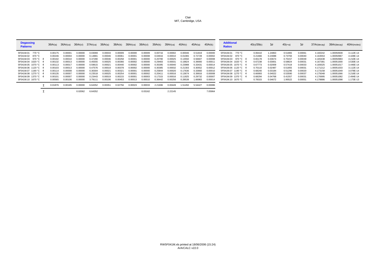| <b>Degassing</b><br><b>Patterns</b> | 36Ar(a) | 36Ar(ca) | 36Ar(cl) | 37Ar(ca)         | 38Ar(a) | 38Ar(k) | $38Ar$ (ca)         | 38Ar(cl) | 39Ar(k) | $39Ar$ (ca) | 40Ar(r) | 40Ar(a) | 40Ar(k) | <b>Additional</b><br><b>Ratios</b> | 40(r)/39(k) | $1\sigma$ | $40(r+a)$ | $1\sigma$ | 37Ar(decay) | 39Ar(decay) | 40Ar(moles) |
|-------------------------------------|---------|----------|----------|------------------|---------|---------|---------------------|----------|---------|-------------|---------|---------|---------|------------------------------------|-------------|-----------|-----------|-----------|-------------|-------------|-------------|
| 5F041M.01<br>770 °C                 | 0.00175 | 0.00001  | 0.00000  | 0.03069          | 0.00033 | 0.00009 | 0.00000             | 0.00009  | 0.00716 | 0.00002     | 0.00046 | 0.51819 | 0.00000 | 5F041M.01<br>770 °C                | 0.06410     | .24863    | 0.51865   | 0.00061   | 4.160242    | 1.00050939  | 3.112E-14   |
| 5F041M.02 870 °C                    | 0.00246 | 0.0000   | 0.00000  | $0.1488^{\circ}$ | 0.00046 | 0.0006  | 0.0000'             | 0.00008  | 0.04916 | 0.00010     | 0.01065 | 0.72728 | 0.00002 | 5F041M.02 870 °C                   | 0.21666     | 0.23088   | 0.73793   | 0.00040   | 4.163553    | 1.00050967  | 4.428E-14   |
| 5F041M.03 970 °C 4                  | 0.00192 | 0.0001   | 0.00000  | 0.37280          | 0.00036 | 0.00258 | 0.0000 <sub>1</sub> | 0.00000  | 0.20790 | 0.00025     | 0.13550 | 0.56607 | 0.00008 | 5F041M.03 970 °C 4                 | 0.65178     | 0.03674   | 0.70157   | 0.00039   | 4.165438    | 1.00050983  | 4.210E-14   |
| 5F041M.04 1020 °C 4                 | 0.00132 | 0.0001   | 0.00000  | 0.45555          | 0.00025 | 0.00366 | 0.00002             | 0.00000  | 0.29483 | 0.0003      | 0.19824 | 0.39000 | 0.0001  | 5F041M.04 1020 °C 4                | 0.67238     | 0.03001   | 0.58824   | 0.00031   | 4.167381    | 1.00051000  | 3.530E-14   |
| 5F041M.05 1070 °C 4                 | 0.00113 | 0.0001   | 0.00000  | 0.59615          | 0.0002  | 0.00440 | 0.00002             | 0.0000(  | 0.35395 | 0.00040     | 0.23988 | 0.33431 | 0.00014 | 5F041M.05 1070 °C 4                | 0.67773     | 0.02009   | 0.57419   | 0.00033   | 4.169325    | 1.00051017  | 3.446E-14   |
| 5F041M.06 1120 °C 4                 | 0.00103 | 0.0001   | 0.00000  | 0.47576          | 0.00019 | 0.00378 | 0.00002             | 0.00000  | 0.30385 | 0.00032     | 0.21303 | 0.30552 | 0.00012 | 5F041M.06 1120 °C 4                | 0.70110     | 0.02487   | 0.51855   | 0.00031   | 4.171212    | 1.00051033  | 3.112E-14   |
| 5F041M.07 1190 °C 4                 | 0.00114 | 0.00008  | 0.00000  | 0.30304          | 0.0002  | 0.0032  | 0.0000'             | 0.00000  | 0.25844 | 0.00020     | 0.17636 | 0.33660 | 0.00010 | 5F041M.07 1190 °C 4                | 0.68240     | 0.03184   | 0.51296   | 0.00020   | 4.173158    | 1.00051049  | 3.078E-14   |
| 5F041M.08 1270 °C 4                 | 0.00135 | 0.0000   | 0.00000  | 0.23518          | 0.00025 | 0.00254 | 0.0000              | 0.00002  | 0.2041  | 0.00016     | 0.13674 | 0.39916 | 0.00008 | 5F041M.08 1270 °C 4                | 0.66993     | 0.04022   | 0.53590   | 0.00037   | 4.175048    | 1.00051066  | 3.216E-14   |
| 5F041M.09 1370 °C 4                 | 0.00101 | 0.00007  | 0.00000  | 0.23443          | 0.00019 | 0.00215 | 0.0000              | 0.00003  | 0.17315 | 0.00016     | 0.11825 | 0.29732 | 0.0000  | 5F041M.09 1370 °C 4                | 0.68294     | 0.04768   | 0.41557   | 0.00031   | 4.176995    | 1.00051082  | 2.494E-14   |
| 5F041M.10 1670 °C                   | 0.00565 | 0.00106  | 0.00000  | 3.7911           | 0.00106 | 0.00453 | 0.00013             | 0.0001   | 0.36442 | 0.00256     | 0.28539 | 1.66983 | 0.00014 | 5F041M.10 1670 °C                  | 0.78315     | 0.04672   | 1.95522   | 0.00051   | 4.178886    | 1.00051098  | I.173E-13   |
|                                     | 0.01876 | 0.00185  | 0.00000  | 6.64352          | 0.0035  | 0.02756 | 0.00023             | 0.00033  | 2.21696 | 0.00449     | 1.51450 | 5.54427 | 0.00086 |                                    |             |           |           |           |             |             |             |
|                                     |         |          | 0.02062  | 6.64352          |         |         |                     | 0.03162  |         | 2.22145     |         |         | 7.05964 |                                    |             |           |           |           |             |             |             |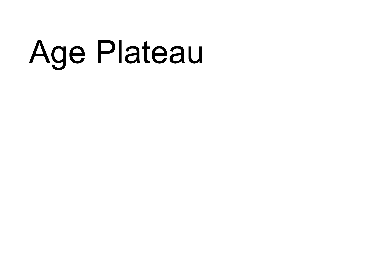## Age Plateau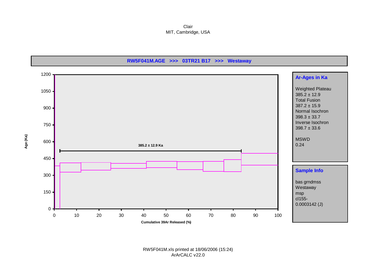Clair MIT, Cambridge, USA

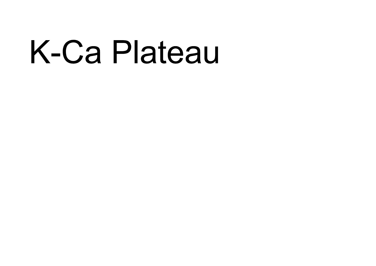## K-Ca Plateau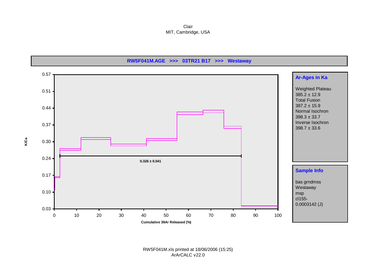Clair MIT, Cambridge, USA

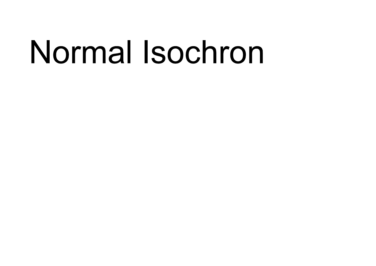## Normal Isochron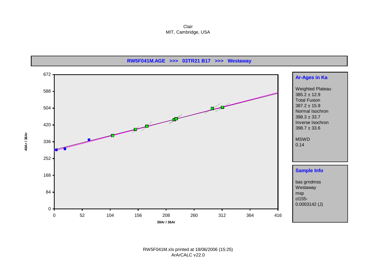Clair MIT, Cambridge, USA

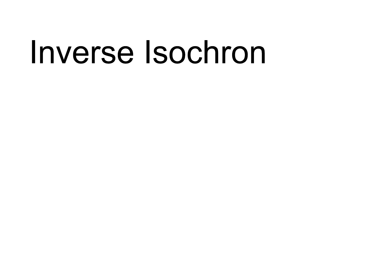### Inverse Isochron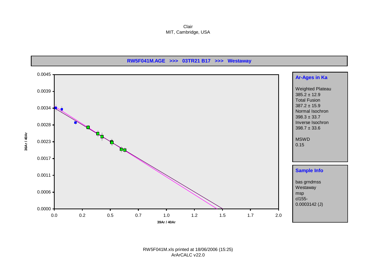Clair MIT, Cambridge, USA



RW5F041M.xls printed at 18/06/2006 (15:25) ArArCALC v22.0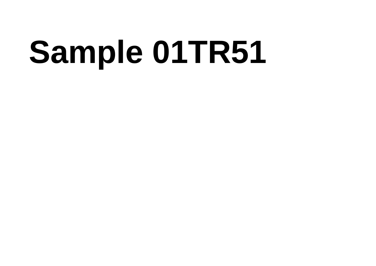# Sample 01TR51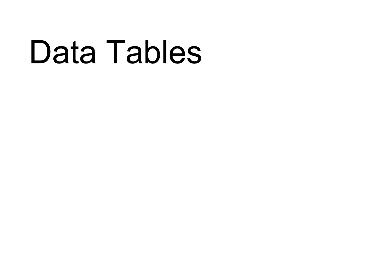### Data Tables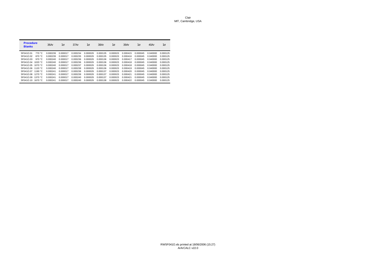| <b>Procedure</b><br><b>Blanks</b> |                  | 36Ar     | $1\sigma$ | 37Ar     | $1\sigma$ | 38Ar     | $1\sigma$ | 39Ar     | $1\sigma$ | 40Ar     | $1\sigma$ |
|-----------------------------------|------------------|----------|-----------|----------|-----------|----------|-----------|----------|-----------|----------|-----------|
| 5F041O.01                         | 770 °C           | 0.000239 | 0.000017  | 0.000234 | 0.000029  | 0.000135 | 0.000023  | 0.000415 | 0.000045  | 0.040000 | 0.000125  |
| 5F041O.02                         | 870 °C           | 0.000239 | 0.000017  | 0.000235 | 0.000029  | 0.000135 | 0.000023  | 0.000416 | 0.000045  | 0.040000 | 0.000125  |
| 5F041Q.03                         | 970 °C           | 0.000240 | 0.000017  | 0.000236 | 0.000029  | 0.000136 | 0.000023  | 0.000417 | 0.000045  | 0.040000 | 0.000125  |
| 5F041O.04                         | 1020 $°C$        | 0.000240 | 0.000017  | 0.000236 | 0.000029  | 0.000136 | 0.000023  | 0.000418 | 0.000045  | 0.040000 | 0.000125  |
| 5F041Q.05                         | 1070 $°C$        | 0.000240 | 0.000017  | 0.000237 | 0.000029  | 0.000136 | 0.000023  | 0.000418 | 0.000045  | 0.040000 | 0.000125  |
| 5F041Q.06                         | 1120 $\degree$ C | 0.000240 | 0.000017  | 0.000238 | 0.000029  | 0.000136 | 0.000023  | 0.000419 | 0.000045  | 0.040000 | 0.000125  |
| 5F041Q.07                         | 1190 $\degree$ C | 0.000241 | 0.000017  | 0.000238 | 0.000029  | 0.000137 | 0.000023  | 0.000420 | 0.000045  | 0.040000 | 0.000125  |
| 5F041Q.08                         | 1270 $°C$        | 0.000241 | 0.000017  | 0.000239 | 0.000029  | 0.000137 | 0.000023  | 0.000421 | 0.000045  | 0.040000 | 0.000125  |
| 5F041Q.09                         | 1370 °C          | 0.000241 | 0.000017  | 0.000240 | 0.000029  | 0.000137 | 0.000023  | 0.000421 | 0.000045  | 0.040000 | 0.000125  |
| 5F041O.10                         | 1670 °C          | 0.000241 | 0.000017  | 0.000240 | 0.000029  | 0.000138 | 0.000023  | 0.000422 | 0.000045  | 0.040000 | 0.000125  |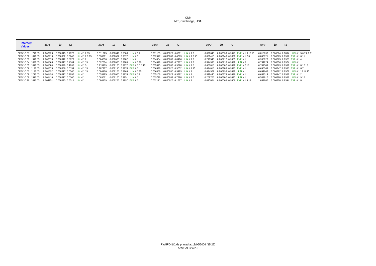| <b>Intercept</b><br><b>Values</b> | 36Ar     | $1\sigma$<br>r2                     | 37Ar     | $1\sigma$ | r2                            | 38Ar     | $1\sigma$                         | r2 | 39Ar                                    | $1\sigma$ | r2 |                                   | 40Ar     | $1\sigma$                             | r2 |                                       |
|-----------------------------------|----------|-------------------------------------|----------|-----------|-------------------------------|----------|-----------------------------------|----|-----------------------------------------|-----------|----|-----------------------------------|----------|---------------------------------------|----|---------------------------------------|
| 5F041O.01<br>770 °C               | 0.002926 | 0.000015 0.7972 LIN # 1 2 15        | 0.011325 |           | $0.000049$ $0.8586$ LIN # 1 2 | 0.001155 | 0.000027 0.0301 LIN # 1 2         |    | 0.026643                                |           |    | 0.000033 0.9947 EXP #181315       | 0.818897 |                                       |    | 0.000574 0.9834 LIN #15678911         |
| 5F041O.02 870 °C                  | 0.002916 | 0.000032 0.6048 LIN # 1 2 3 15      | 0.038391 |           | $0.000087$ 0.9872 LIN #1      | 0.002047 | 0.000037 0.4663 LIN # 1 2 15      |    |                                         |           |    | 0.089410 0.000140 0.9838 EXP #123 | 0.846721 |                                       |    | 0.000365 0.9957 EXP #1611             |
| 5F041O.03 970 °C                  | 0.002678 | 0.000012 0.8979 LIN # 1 2           | 0.084036 |           | 0.000075 0.9982 LIN #         | 0.004054 | 0.000037 0.8416 LIN # 1 2         |    | 0.270543 0.000212 0.9985 EXP #1         |           |    |                                   | 0.908927 | 0.000365 0.9928 EXP #14               |    |                                       |
| 5F041O.04 1020 °C                 | 0.001863 | 0.000017 0.4744 LIN # 1 15          | 0.097004 |           | 0.000085 0.9985 LIN # 1 13    | 0.004579 | 0.000037 0.7907 LIN # 1.3         |    | $0.344398$ $0.000210$ $0.9992$ LIN # 5  |           |    |                                   | 0.731224 | $0.000356$ $0.9974$ LIN #1            |    |                                       |
| 5F041Q.05 1070 °C                 | 0.001684 | 0.000029 0.1937 LIN # 1.5           | 0.113169 |           | 0.000165 0.9972 EXP #15813    | 0.005875 | 0.000033 0.9378 LIN # 15          |    | 0.451818  0.000302  0.9992  EXP  # 7 13 |           |    |                                   | 0.747589 |                                       |    | 0.000263 0.9981 EXP #181213           |
| 5F041O.06 1120 °C                 |          | 0.001373 0.000036 0.0154 LIN # 1 15 | 0.107717 |           | 0.000115 0.9978 EXP #1        |          | 0.006396 0.000028 0.9552 LIN #115 |    | 0.494018  0.000188  0.9997  EXP #1      |           |    |                                   |          |                                       |    | 0.698369 0.000247 0.9988 EXP #167     |
| 5F041O.07 1190 °C                 |          | 0.001332 0.000017 0.0565 LIN # 1 15 | 0.084466 |           | 0.000108 0.9969 LIN # 1 15    | 0.006488 | 0.000035 0.9429 LIN # 1           |    | 0.494367 0.000298 0.9992 LIN #          |           |    |                                   |          |                                       |    | 0.691643 0.000282 0.9977 LIN #1131415 |
| 5F041O.08 1270 °C                 |          | 0.001434 0.000017 0.2053 LIN #1     | 0.053495 |           | 0.000065 0.9974 EXP #12       |          | 0.005156 0.000029 0.9272 LIN #1   |    | 0.379445 0.000179 0.9996 EXP #1         |           |    |                                   |          |                                       |    | 0.639314 0.000447 0.9951 EXP #12      |
| 5F041O.09 1370 °C                 |          | 0.001410  0.000017  0.0306  LIN # 1 | 0.063511 |           | $0.000100$ $0.9951$ LIN # 1   | 0.003728 | 0.000039 0.7798 LIN # 1.5         |    | 0.259708 0.000102 0.9997 LIN #1         |           |    |                                   |          |                                       |    | 0.549910 0.000298 0.9981 LIN #1915    |
| 5F041O.10 1670 °C                 | 0.004251 | $0.000023$ $0.8511$ LIN # 1         | 0.686409 |           | $0.000288$ 0.9997 EXP #3      | 0.002171 | $0.000028$ $0.1387$ LIN # 1       |    | 0.095884                                |           |    | 0.000068 0.9966 EXP #1414         |          | 1.052886  0.000278  0.9394  EXP  # 18 |    |                                       |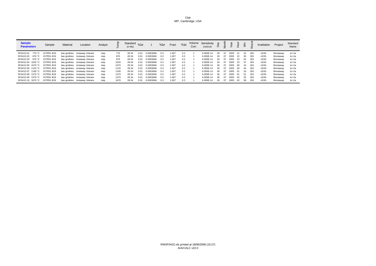| <b>Sample</b><br><b>Parameters</b> | Sample     | Material | Location                      | Analyst |      | Standard $\frac{1}{\% 1 \sigma}$<br>(in Ma) |      |           | $%1\sigma$ | Fract | $%1\sigma$ | Corr. | Volume Sensitivity<br>(mol/vol) | ଟି  |    |      |      |     |      | Irradiation | Project  | Standard<br>Name |
|------------------------------------|------------|----------|-------------------------------|---------|------|---------------------------------------------|------|-----------|------------|-------|------------|-------|---------------------------------|-----|----|------|------|-----|------|-------------|----------|------------------|
| 5F041O.01<br>770 °C                | 01TR51 B19 |          | bas grndmss /estaway Volcanio | msp     | 770  | 28.34                                       |      | 0.0003066 | 0.3        | 1.007 | 0.2        |       | 6.000E-14                       | 29  | 07 | 2005 | -21  | 32  | 001  | cl155-      | Westaway | tcr-2a           |
| 5F041O.02<br>870 °C                | 01TR51 B19 |          | bas grndmss /estaway Volcanio | msp     | 870  | 28.34                                       | 0.01 | 0.0003066 | 0.3        | 1.007 | 0.2        |       | 6.000E-14                       | 29  | 07 | 2005 | 22   | -30 | 001  | cl155-      | Westaway | tcr-2a           |
| 5F041O.03<br>970 °C                | 01TR51 B19 |          | bas grndmss /estaway Volcanio | msp     | 970  | 28.34                                       | 0.01 | 0.0003066 | 0.3        | 1.007 | 0.2        |       | 6.000E-14                       | 29  | 07 | 2005 | - 23 | 03  | 001  | cl155-      | Westaway | tcr-2a           |
| 5F041O.04 1020 °C                  | 01TR51 B19 |          | bas grndmss /estaway Volcanio | msp     | 1020 | 28.34                                       | 0.01 | 0.0003066 | 0.3        | 1.007 | 0.2        |       | 6.000E-14                       | 29  | 07 | 2005 | - 23 | -37 | 001  | cl155-      | Westaway | tcr-2a           |
| 5F041O.05 1070 °C                  | 01TR51 B19 |          | bas grndmss /estaway Volcanio | msp     | 1070 | 28.34                                       | 0.01 | 0.0003066 | 0.3        | 1.007 | 0.2        |       | 6.000E-14                       | -30 | 07 | 2005 | - ററ | -10 | -001 | cl155-      | Westaway | tcr-2a           |
| 5F041O.06 1120 °C                  | 01TR51 B19 |          | bas grndmss /estaway Volcanio | msp     | 1120 | 28.34                                       | 0.01 | 0.0003066 | 0.3        | 1.007 | 0.2        |       | 6.000E-14                       | 30  | 07 | 2005 | ററ   | 44  | 001  | cl155-      | Westaway | tcr-2a           |
| 5F041O.07 1190 °C                  | 01TR51 B19 |          | bas grndmss /estaway Volcanio | msp     | 1190 | 28.34                                       | 0.01 | 0.0003066 | 0.3        | 1.007 | 0.2        |       | 6.000E-14                       | 30  | 07 | 2005 | - 01 | 18  | 001  | cl155-      | Westaway | tcr-2a           |
| 5F041O.08 1270 °C                  | 01TR51 B19 |          | bas grndmss /estaway Volcanio | msp     | 1270 | 28.34                                       | 0.01 | 0.0003066 | 0.3        | 1.007 | 0.2        |       | 6.000E-14                       | 30  | 07 | 2005 | - 01 | 51  | 001  | cl155-      | Westaway | tcr-2a           |
| 5F041O.09 1370 °C                  | 01TR51 B19 |          | bas grndmss /estaway Volcanio | msp     | 1370 | 28.34                                       | 0.01 | 0.0003066 | 0.3        | 1.007 | 0.2        |       | 6.000E-14                       | 30  | 07 | 2005 | 02   | 25  | 001  | cl155-      | Westaway | tcr-2a           |
| 5F041O.10 1670 °C                  | 01TR51 B19 |          | bas grndmss /estaway Volcanio | msp     | 1670 | 28.34                                       | 0.01 | 0.0003066 | 0.3        | 1.007 | 0.2        |       | 6.000E-14                       | 30  | 07 | 2005 | 02   | 58  | 001  | cl155-      | Westaway | tcr-2a           |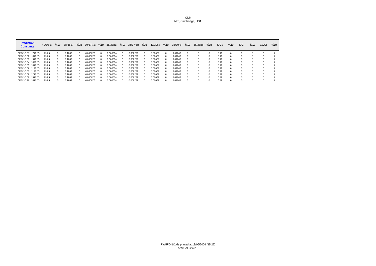| <b>Irradiation</b><br><b>Constants</b> | 40/36(a) | $%1\sigma$   | 38/36(a) | $%1\sigma$ | $39/37$ (ca) | $%1\sigma$ | $38/37$ (ca) %10 |          | $36/37$ (ca) | $%1\sigma$ | 40/39(k) | $%1\sigma$ | 38/39(k) | $%1\sigma$   | $36/38$ (cl) | $%1\sigma$ | K/Ca | $%1\sigma$ | K/CI     | $%1\sigma$ | Ca/Cl    | $%1\sigma$ |
|----------------------------------------|----------|--------------|----------|------------|--------------|------------|------------------|----------|--------------|------------|----------|------------|----------|--------------|--------------|------------|------|------------|----------|------------|----------|------------|
| 5F041O.01<br>770 °C                    | 295.5    |              | 0.1869   |            | 0.000676     |            | 0.000034         | $\Omega$ | 0.000279     |            | 0.00039  |            | 0.01243  |              |              |            | 0.49 |            |          |            |          |            |
| 5F041O.02<br>870 °C                    | 295.5    | <sup>n</sup> | 0.1869   |            | 0.000676     |            | 0.000034         | $\Omega$ | 0.000279     |            | 0.00039  |            | 0.01243  | n            |              |            | 0.49 |            | $\Omega$ | $\Omega$   |          | $\Omega$   |
| 5F041O.03<br>970 °C                    | 295.5    | $^{\circ}$   | 0.1869   |            | 0.000676     | n          | 0.000034         | $\Omega$ | 0.000279     |            | 0.00039  |            | 0.01243  | n            | n.           |            | 0.49 |            | $\Omega$ | $\Omega$   | $\Omega$ | $^{\circ}$ |
| 5F041O.04 1020 °C                      | 295.5    |              | 0.1869   |            | 0.000676     |            | 0.000034         | 0        | 0.000279     |            | 0.00039  |            | 0.01243  |              |              |            | 0.49 |            | $\Omega$ | $\Omega$   |          |            |
| 5F041O.05 1070 °C                      | 295.5    | <sup>n</sup> | 0.1869   |            | 0.000676     |            | 0.000034         | $\Omega$ | 0.000279     |            | 0.00039  |            | 0.01243  | n            |              |            | 0.49 |            | $\Omega$ | $\Box$     |          |            |
| 5F041O.06 1120 °C                      | 295.5    | $^{\circ}$   | 0.1869   |            | 0.000676     |            | 0.000034         | $\Omega$ | 0.000279     |            | 0.00039  |            | 0.01243  | <sup>n</sup> | n.           |            | 0.49 |            | $\Omega$ | $\Omega$   |          | $\Omega$   |
| 5F041O.07 1190 °C                      | 295.5    |              | 0.1869   |            | 0.000676     |            | 0.000034         | 0        | 0.000279     |            | 0.00039  |            | 0.01243  |              |              |            | 0.49 |            | $\Omega$ | $\Omega$   |          |            |
| 5F041O.08 1270 °C                      | 295.5    |              | 0.1869   |            | 0.000676     |            | 0.000034         | $\Omega$ | 0.000279     |            | 0.00039  |            | 0.01243  |              |              |            | 0.49 |            | $\Omega$ | $\Omega$   |          |            |
| 5F041O.09 1370 °C                      | 295.5    | $^{\circ}$   | 0.1869   |            | 0.000676     |            | 0.000034         | $\Omega$ | 0.000279     |            | 0.00039  |            | 0.01243  | <sup>n</sup> | n            |            | 0.49 |            | $\Omega$ | $\Omega$   |          | n          |
| 5F041O.10<br>1670 °C                   | 295.5    | <sup>n</sup> | 0.1869   |            | 0.000676     |            | 0.000034         | 0        | 0.000279     |            | 0.00039  |            | 0.01243  |              |              |            | 0.49 |            | 0        | $\Omega$   |          | $\Omega$   |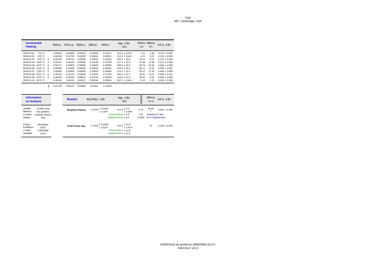| <b>Incremental</b><br><b>Heating</b> |           |                  | 36Ar(a) | $37Ar$ (ca) | $38Ar$ (cl) | 39Ar(k) | 40Ar(r) | Age $\pm 2\sigma$<br>(Ma) | 40Ar(r) 39Ar(k)<br>(% ) | (% )  | $K/Ca \pm 2\sigma$ |
|--------------------------------------|-----------|------------------|---------|-------------|-------------|---------|---------|---------------------------|-------------------------|-------|--------------------|
| 5F041O.01                            | 770 °C    |                  | 0.00260 | 0.04589     | 0.00019     | 0.02603 | 0.01017 | $216.1 + 378.6$           | 1.31                    | 0.90  | $0.278 + 0.005$    |
| 5F041O.02                            | 870 °C    |                  | 0.00256 | 0.15799     | 0.00030     | 0.08831 | 0.05021 | $314.4 + 150.9$           | 6.22                    | 3.07  | $0.274 + 0.004$    |
| 5F041Q.03                            | 970 $°C$  | $\boldsymbol{4}$ | 0.00228 | 0.34714     | 0.00009     | 0.26815 | 0.19643 | $405.1 + 33.5$            | 22.61                   | 9.31  | $0.379 + 0.005$    |
| 5F041Q.04                            | 1020 °C   | 4                | 0.00147 | 0.40104     | 0.00000     | 0.34149 | 0.25768 | $417.3 + 25.6$            | 37.28                   | 11.86 | $0.417 + 0.005$    |
| 5F041Q.05                            | 1070 $°C$ | $\boldsymbol{4}$ | 0.00127 | 0.46825     | 0.00000     | 0.44818 | 0.33089 | $408.3 \pm 25.3$          | 46.76                   | 15.56 | $0.469 \pm 0.006$  |
| 5F041Q.06                            | 1120 °C   | 4                | 0.00098 | 0.44585     | 0.00000     | 0.49012 | 0.36942 | $416.9 \pm 26.4$          | 56.11                   | 17.02 | $0.539 \pm 0.007$  |
| 5F041Q.07                            | 1190 °C   | $\boldsymbol{4}$ | 0.00096 | 0.34956     | 0.00000     | 0.49053 | 0.36665 | $413.4 + 16.4$            | 56.27                   | 17.03 | $0.688 + 0.009$    |
| 5F041Q.08                            | 1270 °C   | 4                | 0.00110 | 0.22112     | 0.00006     | 0.37643 | 0.27454 | $403.4 + 21.7$            | 45.81                   | 13.07 | $0.834 + 0.011$    |
| 5F041Q.09                            | 1370 °C   | 4                | 0.00106 | 0.26283     | 0.00013     | 0.25744 | 0.19546 | $419.9 + 31.9$            | 38.33                   | 8.94  | $0.480 + 0.006$    |
| 5F041O.10                            | 1670 °C   |                  | 0.00310 | 2.85161     | 0.00017     | 0.09292 | 0.09534 | $567.5 \pm 146.6$         | 9.41                    | 3.23  | $0.016 \pm 0.000$  |

Σ 0.01739 5.55127 0.00096 2.87961 2.14678

| <b>Information</b><br>on Analysis |                           | <b>Results</b>          | $40(r)/39(k) \pm 2\sigma$       | Age $\pm 2\sigma$<br>(Ma)   | MSWD             | 39Ar(k)<br>(%, n)         | $K/Ca \pm 2\sigma$         |
|-----------------------------------|---------------------------|-------------------------|---------------------------------|-----------------------------|------------------|---------------------------|----------------------------|
| Sample<br>Material                | 01TR51 B19<br>bas grndmss | <b>Weighted Plateau</b> | $0.7446 \pm 0.0163$<br>$+2.20%$ | $411.8 \pm 9.4$             | 0.24<br>$+2.28%$ | 92.80                     | $0.481 \pm 0.094$          |
| Location                          | estaway Volcani           |                         |                                 | External Error + 9.4        | 2.45             | <b>Statistical Tratio</b> |                            |
| Analyst                           | msp                       |                         |                                 | Analytical Error $\pm$ 9.0  | 1.0000           |                           | <b>Error Magnification</b> |
| Project<br>Irradiation            | Westaway<br>cl155-        | <b>Total Fusion Age</b> | $0.7455 \pm 0.0209$<br>± 2.81%  | $412.3 \pm 11.8$            | $+2.87%$         | 10                        | $0.254 + 0.002$            |
| J-value                           | 0.0003066                 |                         |                                 | External Error + 11.8       |                  |                           |                            |
| Standard                          | 28.34                     |                         |                                 | Analytical Error $\pm$ 11.6 |                  |                           |                            |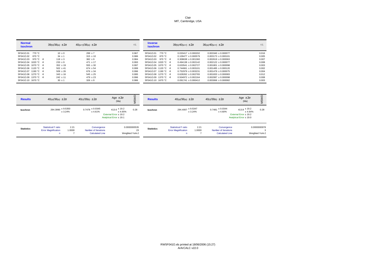| <b>Normal</b><br><b>Isochron</b> | $39(k)/36(a) \pm 2\sigma$ | $40(a+r)/36(a) \pm 2\sigma$ | r.i.  | <b>Inverse</b><br><b>Isochron</b> | $39(k)/40(a+r) \pm 2\sigma$ | $36(a)/40(a+r) \pm 2\sigma$ | r.i.  |
|----------------------------------|---------------------------|-----------------------------|-------|-----------------------------------|-----------------------------|-----------------------------|-------|
| 5F041O.01<br>770 °C              | $10 \pm 0$                | $299 \pm 7$                 | 0.967 | 5F041O.01<br>770 °C               | $0.033417 + 0.000202$       | $0.003340 \pm 0.000077$     | 0.016 |
| 5F041O.02<br>870 °C              | $34 \pm 1$                | $315 \pm 10$                | 0.986 | 5F041O.02<br>870 °C               | $0.109477 + 0.000579$       | $0.003173 \pm 0.000101$     | 0.005 |
| 970 °C $\,$ 4<br>5F041O.03       | $118 \pm 3$               | $382 \pm 9$                 | 0.984 | 970 °C 4<br>5F041Q.03             | $0.308638 + 0.001360$       | $0.002619 + 0.000063$       | 0.007 |
| 1020 °C $\,$ 4<br>5F041Q.04      | $233 \pm 9$               | $471 + 17$                  | 0.993 | 5F041O.04 1020 °C 4               | $0.494138 + 0.002142$       | $0.002122 + 0.000077$       | 0.008 |
| 5F041O.05 1070 °C 4              | $352 \pm 19$              | $555 \pm 30$                | 0.997 | 5F041O.05 1070 °C 4               | $0.633541 \pm 0.002727$     | $0.001801 + 0.000098$       | 0.003 |
| 5F041O.06 1120 °C 4              | $502 \pm 41$              | $674 \pm 54$                | 0.999 | 5F041O.06 1120 °C 4               | $0.744661 + 0.003101$       | $0.001485 + 0.000120$       | 0.002 |
| 5F041O.07 1190 °C 4              | $509 \pm 26$              | $676 \pm 34$                | 0.996 | 5F041O.07 1190 °C 4               | $0.752979 + 0.003231$       | $0.001479 + 0.000075$       | 0.004 |
| 5F041Q.08 1270 °C 4              | $343 \pm 16$              | $545 \pm 25$                | 0.995 | 5F041O.08 1270 °C 4               | $0.628262 + 0.002765$       | $0.001833 + 0.000083$       | 0.012 |
| 5F041O.09 1370 °C 4              | $242 \pm 11$              | $479 \pm 23$                | 0.996 | 5F041O.09 1370 °C 4               | $0.504972 + 0.002164$       | $0.002087 + 0.000098$       | 0.008 |
| 5F041O.10 1670 °C                | $30 \pm 1$                | $326 \pm 9$                 | 0.986 | 5F041O.10 1670 °C                 | $0.091741 \pm 0.000412$     | $0.003066 \pm 0.000082$     | 0.003 |

| <b>Results</b>    | $40(a)/36(a) \pm 2\sigma$                                     |                | $40(r)/39(k) \pm 2\sigma$                                     | Age $\pm 2\sigma$<br>(Ma)                                                       | ≏<br>ΜS                               | <b>Results</b>    | $40(a)/36(a) \pm 2\sigma$                                     |                | $40(r)/39(k) \pm 2\sigma$                                     | Age $\pm 2\sigma$<br>(Ma)                                                           | $\Omega$<br>ΜS                  |
|-------------------|---------------------------------------------------------------|----------------|---------------------------------------------------------------|---------------------------------------------------------------------------------|---------------------------------------|-------------------|---------------------------------------------------------------|----------------|---------------------------------------------------------------|-------------------------------------------------------------------------------------|---------------------------------|
| <b>Isochron</b>   | $294.3990 \pm 9.5350$<br>± 3.24%                              |                | $0.7478 \pm 0.0345$<br>± 4.61%                                | $413.6 \pm 19.2$<br>± 4.65%<br>External Error ± 19.2<br>Analytical Error ± 19.1 | 0.28                                  | <b>Isochron</b>   | $294.4007 \pm 9.5347$                                         | ± 3.24%        | $0.7481 \pm 0.0344$<br>± 4.60%                                | $413.8 \pm 19.2$<br>± 4.64%<br>External Error $\pm$ 19.2<br>Analytical Error ± 19.0 | 0.28                            |
| <b>Statistics</b> | <b>Statistical F ratio</b><br><b>Error Magnification</b><br>n | 2.21<br>1.0000 | Convergence<br>Number of Iterations<br><b>Calculated Line</b> |                                                                                 | 0.0000000535<br>23<br>Weighted York-2 | <b>Statistics</b> | <b>Statistical F ratio</b><br><b>Error Magnification</b><br>n | 2.21<br>1.0000 | Convergence<br>Number of Iterations<br><b>Calculated Line</b> |                                                                                     | 0.0000000978<br>Weighted York-2 |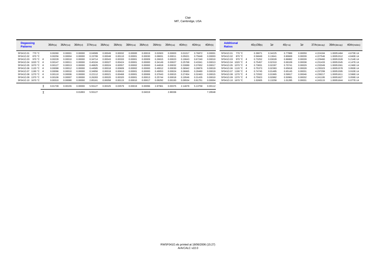| <b>Degassing</b><br><b>Patterns</b> | 36Ar(a) | $36Ar$ (ca) | 36Ar(cl) | 37Ar(ca) | 38Ar(a) | 38Ar(k) | $38Ar$ (ca) | 38Ar(cl) | 39Ar(k) | $39Ar$ (ca) | 40Ar(r) | 40Ar(a) | 40Ar(k) | <b>Additional</b><br><b>Ratios</b> | 40(r)/39(k) | $1\sigma$ | $40(r+a)$ | $1\sigma$ | 37Ar(decay) | 39Ar(decay) | 40Ar(moles) |
|-------------------------------------|---------|-------------|----------|----------|---------|---------|-------------|----------|---------|-------------|---------|---------|---------|------------------------------------|-------------|-----------|-----------|-----------|-------------|-------------|-------------|
| 5F041O.01<br>770 °C                 | 0.00260 | 0.0000      | 0.00000  | 0.04589  | 0.00049 | 0.00032 | 0.00000     | 0.0001   | 0.02603 | 0.00003     | 0.0101  | 0.76872 | 0.0000  | 5F041O.01<br>770 °C                | 0.39071     | 0.34225   | 0.77889   | 0.00059   | 4.224184    | 1.00051484  | 4.673E-14   |
| 5F041O.02 870 °C                    | 0.00256 | 0.0000      | 0.00000  | 0.15799  | 0.00048 | 0.0011  | 0.0000      | 0.0003   | 0.0883  | 0.0001      | 0.05021 | 0.75648 | 0.00003 | 5F041O.02<br>870 °C                | 0.56849     | 0.13641   | 0.80669   | 0.00039   | 4.227546    | 1.00051512  | 4.840E-14   |
| 5F041O.03 970 °C 4                  | 0.00228 | 0.0001      | 0.00000  | 0.34714  | 0.00043 | 0.00333 | 0.0000      | 0.00009  | 0.26815 | 0.00023     | 0.19643 | 0.67240 | 0.0001  | 970 °C 4<br>5F041O.03              | 0.73252     | 0.03028   | 0.86882   | 0.00039   | 4.229460    | 1.00051528  | 5.214E-14   |
| 5F041O.04 1020 °C 4                 | 0.00147 | 0.0001      | 0.00000  | 0.40104  | 0.0002  | 0.00424 | 0.0000      | 0.00000  | 0.34149 | 0.0002      | 0.25768 | 0.4334  | 0.0001  | 1020 °C 4<br>5F041O.04             | 0.75457     | 0.02310   | 0.69109   | 0.00038   | 4.231433    | 1.00051545  | 4.147E-14   |
| 5F041O.05 1070 °C 4                 | 0.00127 | 0.00013     | 0.00000  | 0.46825  | 0.00024 | 0.0055  | 0.0000      | 0.00000  | 0.44818 | 0.00032     | 0.33089 | 0.37652 | 0.0001  | 5F041O.05 1070 °C 4                | 0.73831     | 0.02287   | 0.70741   | 0.00029   | 4.233349    | 1.00051561  | 4.246E-14   |
| 5F041O.06 1120 °C 4                 | 0.00098 | 0.00012     | 0.00000  | 0.44585  | 0.0001  | 0.0060  | 0.0000      | 0.0000   | 0.49012 | 0.00030     | 0.36942 | 0.2887  | 0.0001  | 5F041O.06 1120 °C 4                | 0.75373     | 0.02383   | 0.65818   | 0.00028   | 4.235323    | 1.00051578  | 3.950E-14   |
| 1190 °C 4<br>5F041O.07              | 0.00096 | 0.0001      | 0.00000  | 0.34956  | 0.0001  | 0.0061  | 0.0000      | 0.00000  | 0.49053 | 0.00024     | 0.36665 | 0.28480 | 0.0001  | $1190 °C$ 4<br>5F041O.07           | 0.74745     | 0.01485   | 0.65145   | 0.00031   | 4.237299    | 1.00051595  | 3.910E-14   |
| 5F041O.08 1270 °C 4                 | 0.00110 | 0.00006     | 0.00000  | 0.22112  | 0.0002  | 0.00468 | 0.0000      | 0.00006  | 0.37643 | 0.00015     | 0.27454 | 0.32463 | 0.00015 | 5F041O.08<br>1270 °C 4             | 0.72932     | 0.01965   | 0.59917   | 0.00046   | 4.239217    | 1.00051611  | 3.596E-14   |
| 5F041O.09 1370 °C 4                 | 0.00106 | 0.0000      | 0.00000  | 0.26283  | 0.00020 | 0.00320 | 0.0000      | 0.0001   | 0.25744 | 0.00018     | 0.19546 | 0.31435 | 0.0001  | 5F041O.09<br>1370 °C 4             | 0.75923     | 0.02882   | 0.5098    | 0.00032   | 4.241195    | 1.00051627  | 3.059E-14   |
| 5F041O.10 1670 °C                   | 0.00310 | 0.0008      | 0.00000  | 2.85161  | 0.00058 | 0.00115 | 0.00010     | 0.0001   | 0.09292 | 0.00193     | 0.09534 | 0.91751 | 0.00004 | 5F041O.10<br>1670 °C               | 1.02605     | 0.13258   | 1.01285   | 0.00031   | 4.243115    | 1.00051644  | 6.077E-14   |
|                                     | 0.01739 | 0.00155     | 0.00000  | 5.55127  | 0.00325 | 0.0357  | 0.00019     | 0.0009   | 2.8796  | 0.00375     | 2.14678 | 5.13758 | 0.00112 |                                    |             |           |           |           |             |             |             |

Σ 0.01893 5.55127 0.04019 2.88336 7.28548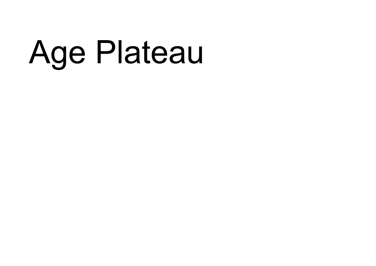## Age Plateau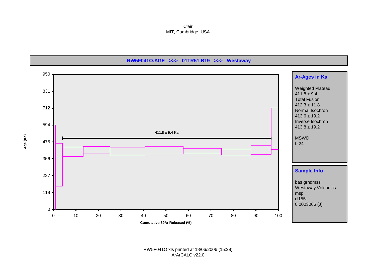Clair MIT, Cambridge, USA

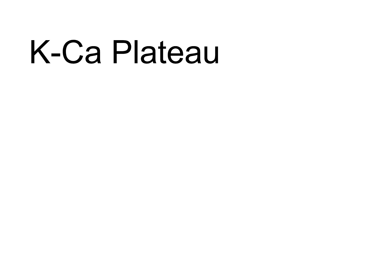## K-Ca Plateau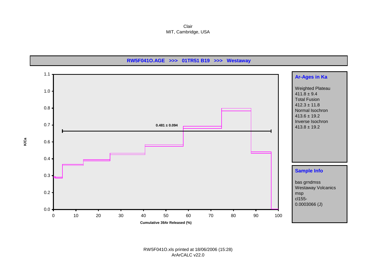Clair MIT, Cambridge, USA

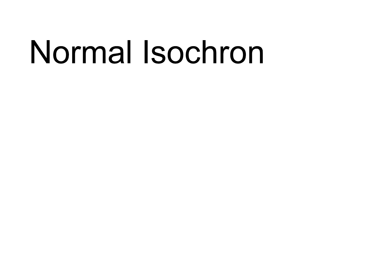## Normal Isochron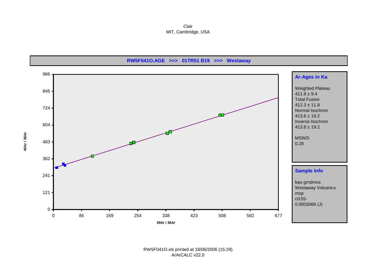Clair MIT, Cambridge, USA

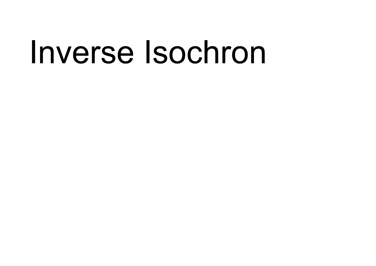### Inverse Isochron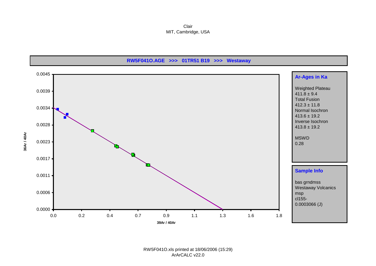Clair MIT, Cambridge, USA

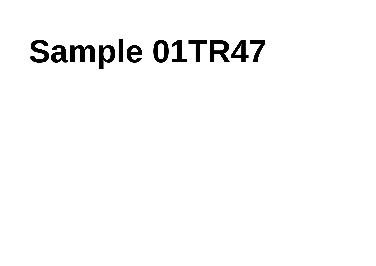# Sample 01TR47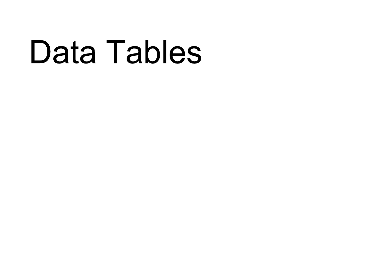### Data Tables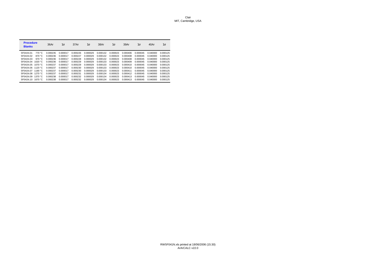RW5F041N.xls printed at 18/06/2006 (15:30) ArArCALC v22.0

| <b>Procedure</b><br><b>Blanks</b> |           | 36Ar     | $1\sigma$ | 37Ar     | $1\sigma$ | 38Ar     | $1\sigma$ | 39Ar     | $1\sigma$ | 40Ar     | $1\sigma$ |
|-----------------------------------|-----------|----------|-----------|----------|-----------|----------|-----------|----------|-----------|----------|-----------|
| 5F041N.01                         | 770 °C.   | 0.000235 | 0.000017  | 0.000226 | 0.000029  | 0.000132 | 0.000023  | 0.000406 | 0.000045  | 0.040000 | 0.000125  |
| 5F041N.02                         | 870 °C    | 0.000236 | 0.000017  | 0.000227 | 0.000029  | 0.000132 | 0.000023  | 0.000408 | 0.000045  | 0.040000 | 0.000125  |
| 5F041N.03                         | 970 °C    | 0.000236 | 0.000017  | 0.000228 | 0.000029  | 0.000132 | 0.000023  | 0.000408 | 0.000045  | 0.040000 | 0.000125  |
| 5F041N.04                         | 1020 $°C$ | 0.000236 | 0.000017  | 0.000229 | 0.000029  | 0.000133 | 0.000023  | 0.000409 | 0.000045  | 0.040000 | 0.000125  |
| 5F041N.05                         | 1070 °C   | 0.000237 | 0.000017  | 0.000229 | 0.000029  | 0.000133 | 0.000023  | 0.000410 | 0.000045  | 0.040000 | 0.000125  |
| 5F041N.06                         | 1120 °C   | 0.000237 | 0.000017  | 0.000230 | 0.000029  | 0.000133 | 0.000023  | 0.000410 | 0.000045  | 0.040000 | 0.000125  |
| 5F041N.07                         | 1190 °C   | 0.000237 | 0.000017  | 0.000230 | 0.000029  | 0.000133 | 0.000023  | 0.000411 | 0.000045  | 0.040000 | 0.000125  |
| 5F041N.08                         | 1270 °C   | 0.000237 | 0.000017  | 0.000231 | 0.000029  | 0.000134 | 0.000023  | 0.000412 | 0.000045  | 0.040000 | 0.000125  |
| 5F041N.09                         | 1370 °C   | 0.000238 | 0.000017  | 0.000232 | 0.000029  | 0.000134 | 0.000023  | 0.000413 | 0.000045  | 0.040000 | 0.000125  |
| 5F041N.10                         | 1670 $°C$ | 0.000238 | 0.000017  | 0.000232 | 0.000029  | 0.000134 | 0.000023  | 0.000413 | 0.000045  | 0.040000 | 0.000125  |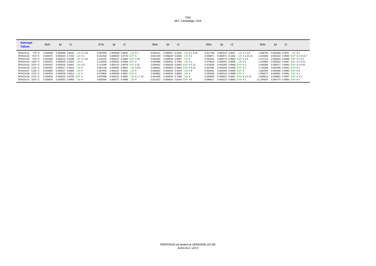| <b>Intercept</b><br><b>Values</b> | 36Ar     | r2<br>$1\sigma$                        | 37Ar     | $1\sigma$                    | r2 |                           | 38Ar                            | $1\sigma$                        | r2 |                            | 39Ar                                | $1\sigma$                 | r2 |                                    | 40Ar      | $1\sigma$               | r2 |                            |
|-----------------------------------|----------|----------------------------------------|----------|------------------------------|----|---------------------------|---------------------------------|----------------------------------|----|----------------------------|-------------------------------------|---------------------------|----|------------------------------------|-----------|-------------------------|----|----------------------------|
| 5F041N.01<br>770 °C               | 0.004099 | 0.000068 0.8540 LIN # 1 15             | 0.007450 | 0.000068 0.6852 LIN # 1      |    |                           | 0.001321                        |                                  |    | 0.000047 0.5304 LIN #1415  | 0.011758                            |                           |    | 0.000115 0.9947 LIN #126           | 1.088700  | 0.001064 0.9937 LIN #1  |    |                            |
| 5F041N.02 870 °C                  |          | $0.003375$ $0.000024$ $0.7250$ LIN # 1 | 0.021044 | 0.000053 0.9770 EXP #        |    |                           | 0.001339                        | $0.000028$ $0.0006$ $\Box N$ # 1 |    |                            | 0.038871                            |                           |    | 0.000071 0.1652 LIN # 1 10 13      | 1.023606  |                         |    | 0.000192 0.9990 EXP #14567 |
| 5F041N.03 970 °C                  | 0.003928 | 0.000016 0.9338 LIN # 1 15             | 0.126123 | 0.000107 0.9984 EXP #15      |    |                           | 0.004404                        | 0.000028 0.8957 LIN #            |    |                            |                                     |                           |    | 0.281025 0.000176 0.9992 EXP # 2.3 | 1.671114  |                         |    | 0.000354 0.9996 EXP #145   |
| 5F041N.04 1020 °C                 | 0.002341 | $0.000020$ $0.2922$ LIN #              | 0.124036 | 0.000042 0.9998 EXP #        |    |                           | 0.004989                        | $0.000031$ $0.7483$ LIN # 1      |    |                            | 0.376624 0.000251 0.9990 LIN #1     |                           |    |                                    | 1.410982  |                         |    | 0.000322 0.9987 EXP #1413  |
| 5F041N.05 1070 °C                 | 0.002457 | $0.000016$ $0.6681$ LIN # 6            | 0.114290 | $0.000115$ 0.9978 EXP #12    |    |                           | 0.006452                        |                                  |    | 0.000029 0.9403 EXP # 1 13 | 0.476428  0.000200  0.9996  EXP #1  |                           |    |                                    | 1.644046  |                         |    | 0.000517 0.9983 EXP #1910  |
| 5F041N.06 1120 °C                 | 0.002597 | $0.000017$ $0.3918$ LIN #              | 0.087106 | $0.000082$ $0.9982$ LIN #6.9 |    |                           | 0.006681                        |                                  |    | 0.000023 0.9646 EXP #514   | 0.487093 0.000236 0.9995 EXP #1     |                           |    |                                    | 1.725406  | 0.000399 0.9991 EXP #1  |    |                            |
| 5F041N.07 1190 °C                 | 0.003804 | $0.000017$ $0.8969$ LIN #              | 0.087850 | $0.000107$ $0.9963$ LIN #    |    |                           | 0.006592                        | $0.000029$ $0.9144$ LIN # 9      |    |                            | 0.455461  0.000208  0.9995  EXP  #  |                           |    |                                    | 1.982543  | 0.000556 0.9990 EXP #2  |    |                            |
| 5F041N.08 1270 °C                 | 0.005553 | $0.000029$ $0.8613$ LIN #              | 0.079820 | 0.000059 0.9987 EXP #        |    |                           | 0.004902                        | 0.000033 0.8050 LIN #            |    |                            | 0.250028                            | $0.000142$ $0.9988$ EXP # |    |                                    | 2.056577  | 0.000581 0.9991 EXP #1  |    |                            |
| 5F041N.09 1370 °C                 |          | 0.009033 0.000024 0.9785 EXP #         | 0.097998 |                              |    | 0.000101 0.9982 LIN #1710 | 0.004406                        | $0.000034$ $0.7396$ LIN #        |    |                            | 0.099959                            |                           |    | 0.000047 0.9957 EXP #1513          | 2.689610  | 0.000601 0.9997 EXP #13 |    |                            |
| 5F041N.10 1670 °C                 |          | 0.039876 0.000052 0.9956 LIN #         | 0.825055 | 0.000271 0.9998 LIN #        |    |                           | 0.011012 0.000034 0.9144 EXP #5 |                                  |    |                            | 0.090817  0.000122  0.9982  EXP  #1 |                           |    |                                    | 11.294676 | 0.004774 0.9993 EXP #1  |    |                            |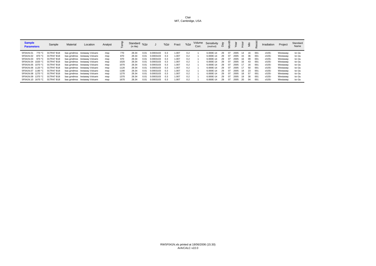| <b>Sample</b><br><b>Parameters</b> | Sample     | Material | Location                      | Analyst |      | Standard $\%1\sigma$<br>(in Ma) |      |           | $%1\sigma$ | Fract | $%1\sigma$ | Corr. | Volume Sensitivity<br>(mol/vol) |    |    |      |     | €   |      | Irradiation | Project  | Standard<br>Name |
|------------------------------------|------------|----------|-------------------------------|---------|------|---------------------------------|------|-----------|------------|-------|------------|-------|---------------------------------|----|----|------|-----|-----|------|-------------|----------|------------------|
| 5F041N.01<br>770 °C                | 01TR47 B18 |          | bas grndmss /estaway Volcanio | msp     | 770  | 28.34                           | 0.01 | 0.0003103 | 0.3        | .007  | 0.2        |       | 6.000E-14                       | 29 | 07 | 2005 |     | 16  | 001  | cl155-      | Westaway | tcr-2a           |
| 5F041N.02<br>870 °C                | 01TR47 B18 |          | bas grndmss /estaway Volcanio | msp     | 870  | 28.34                           | 0.01 | 0.0003103 | 0.3        | 1.007 | 0.2        |       | 6.000E-14                       | 29 | 07 | 2005 | 15  | 36  | -001 | cl155-      | Westaway | tcr-2a           |
| 5F041N.03<br>970 °C                | 01TR47 B18 |          | bas grndmss /estaway Volcanio | msp     | 970  | 28.34                           | 0.01 | 0.0003103 | 0.3        | 1.007 | 0.2        |       | 6.000E-14                       | 29 | 07 | 2005 | 16. | 09  | -001 | cl155-      | Westaway | tcr-2a           |
| 5F041N.04 1020 °C                  | 01TR47 B18 |          | bas grndmss /estaway Volcanio | msp     | 1020 | 28.34                           | 0.01 | 0.0003103 | 0.3        | 1.007 | 0.2        |       | 6.000E-14                       | 29 | 07 | 2005 | 16. | 43  | 001  | cl155-      | Westaway | tcr-2a           |
| 5F041N.05 1070 °C                  | 01TR47 B18 |          | bas grndmss /estaway Volcanio | msp     | 1070 | 28.34                           | 0.01 | 0.0003103 | 0.3        | 1.007 | 0.2        |       | 6.000E-14                       | 29 | 07 | 2005 |     | 16  | -001 | cl155-      | Westaway | tcr-2a           |
| 5F041N.06 1120 °C                  | 01TR47 B18 |          | bas grndmss /estaway Volcanio | msp     | 1120 | 28.34                           | 0.01 | 0.0003103 | 0.3        | 1.007 | 0.2        |       | 6.000E-14                       | 29 | 07 | 2005 |     | 50  | -001 | cl155-      | Westaway | tcr-2a           |
| 5F041N.07 1190 °C                  | 01TR47 B18 |          | bas grndmss /estaway Volcanii | msp     | 1190 | 28.34                           | 0.01 | 0.0003103 | 0.3        | 1.007 | 0.2        |       | 6.000E-14                       | 29 | 07 | 2005 | 18  | 23  | 001  | cl155-      | Westaway | tcr-2a           |
| 5F041N.08 1270 °C                  | 01TR47 B18 |          | bas grndmss /estaway Volcani  | msp     | 1270 | 28.34                           | 0.01 | 0.0003103 | 0.3        | 1.007 | 0.2        |       | 6.000E-14                       | 29 | 07 | 2005 | 18  | -57 | 001  | cl155-      | Westaway | tcr-2a           |
| 5F041N.09 1370 °C                  | 01TR47 B18 |          | bas grndmss /estaway Volcanio | msp     | 1370 | 28.34                           | 0.01 | 0.0003103 | 0.3        | 1.007 | 0.2        |       | 6.000E-14                       | 29 | 07 | 2005 | 19  | 30  | 001  | cl155-      | Westaway | tcr-2a           |
| 5F041N.10 1670 °C                  | 01TR47 B18 |          | bas grndmss /estaway Volcani  | msp     | 1670 | 28.34                           | 0.01 | 0.0003103 | 0.3        | 1.007 | 0.2        |       | 6.000E-14                       | 29 | 07 | 2005 | -20 | 04  | 001  | cl155-      | Westaway | tcr-2a           |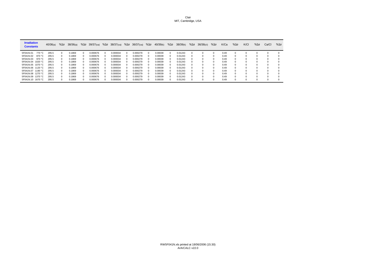| <b>Irradiation</b><br><b>Constants</b> | 40/36(a) | $%1\sigma$ | 38/36(a) | $%1\sigma$ | $39/37$ (ca) |              | $%1\sigma$ 38/37(ca) | $%1\sigma$ | 36/37(ca) | $%1\sigma$ | 40/39(k) | $%1\sigma$ | 38/39(k) | $%1\sigma$ | $36/38$ (cl) | $%1\sigma$ | K/Ca | $%1\sigma$ | K/CI | $%1\sigma$ | Ca/Cl    | $%1\sigma$   |
|----------------------------------------|----------|------------|----------|------------|--------------|--------------|----------------------|------------|-----------|------------|----------|------------|----------|------------|--------------|------------|------|------------|------|------------|----------|--------------|
| 770 °C<br>5F041N.01                    | 295.5    |            | 0.1869   | $\Omega$   | 0.000676     | 0            | 0.000034             |            | 0.000279  |            | 0.00039  |            | 0.01243  |            |              |            | 0.49 |            |      |            |          | $\mathbf{0}$ |
| 5F041N.02<br>870 °C                    | 295.5    |            | 0.1869   | $\Omega$   | 0.000676     | <sup>o</sup> | 0.000034             | $\Omega$   | 0.000279  |            | 0.00039  |            | 0.01243  |            |              |            | 0.49 |            |      | $\Omega$   |          | $\Omega$     |
| 5F041N.03<br>970 °C                    | 295.5    |            | 0.1869   | $\Omega$   | 0.000676     | 0            | 0.000034             |            | 0.000279  |            | 0.00039  |            | 0.01243  |            |              |            | 0.49 |            |      | n          | $\Omega$ | $\Omega$     |
| 5F041N.04<br>1020 °C                   | 295.5    |            | 0.1869   | $\Omega$   | 0.000676     | 0            | 0.000034             |            | 0.000279  |            | 0.00039  | $^{\circ}$ | 0.01243  |            |              |            | 0.49 | $\Omega$   |      | $\Omega$   | $\Omega$ | $\Omega$     |
| 5F041N.05 1070 °C                      | 295.5    |            | 0.1869   | $\Omega$   | 0.000676     | <sup>o</sup> | 0.000034             | $\Omega$   | 0.000279  |            | 0.00039  |            | 0.01243  |            |              |            | 0.49 | $\Omega$   |      | $\Omega$   |          | $\Omega$     |
| 5F041N.06 1120 °C                      | 295.5    |            | 0.1869   | $\Omega$   | 0.000676     | 0            | 0.000034             | 0          | 0.000279  |            | 0.00039  |            | 0.01243  |            |              |            | 0.49 | $\Omega$   |      | $\Omega$   | $\Omega$ | $\Omega$     |
| 5F041N.07 1190 °C                      | 295.5    |            | 0.1869   |            | 0.000676     | 0            | 0.000034             |            | 0.000279  |            | 0.00039  |            | 0.01243  |            |              |            | 0.49 |            |      | $\Omega$   |          | $\Omega$     |
| 5F041N.08 1270 °C                      | 295.5    |            | 0.1869   | $\Omega$   | 0.000676     | 0            | 0.000034             | n          | 0.000279  |            | 0.00039  |            | 0.01243  |            |              |            | 0.49 |            |      | $\Omega$   |          | $\Omega$     |
| 5F041N.09 1370 °C                      | 295.5    |            | 0.1869   | $\Omega$   | 0.000676     | 0            | 0.000034             | $\Omega$   | 0.000279  |            | 0.00039  | $^{\circ}$ | 0.01243  |            |              |            | 0.49 | $\Omega$   |      | $\Omega$   | $\Omega$ | $\Omega$     |
| 5F041N.10 1670 °C                      | 295.5    |            | 0.1869   | $\Omega$   | 0.000676     | 0            | 0.000034             |            | 0.000279  |            | 0.00039  |            | 0.01243  |            |              |            | 0.49 | $\Omega$   |      | $\Omega$   |          | $\Omega$     |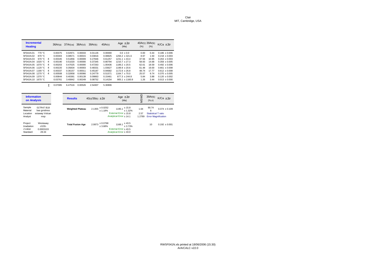| <b>Incremental</b><br><b>Heating</b> |                  |   | 36Ar(a) | $37Ar$ (ca) | $38Ar$ (cl) | 39Ar(k) | 40Ar(r) | Age $\pm 2\sigma$<br>(Ma) | 40Ar(r) 39Ar(k)<br>(%) | (% )  | K/Ca $\pm 2\sigma$ |
|--------------------------------------|------------------|---|---------|-------------|-------------|---------|---------|---------------------------|------------------------|-------|--------------------|
| 5F041N.01                            | 770 °C           |   | 0.00375 | 0.02971     | 0.00033     | 0.01126 | 0.00000 | $0.0 + 0.0$               | 0.00                   | 0.44  | $0.186 + 0.006$    |
| 5F041N.02                            | 870 °C           |   | 0.00303 | 0.08571     | 0.00015     | 0.03816 | 0.08825 | $1294.2 + 321.6$          | 8.97                   | 1.50  | $0.218 + 0.003$    |
| 5F041N.03                            | 970 $°C$         | 4 | 0.00345 | 0.51856     | 0.00009     | 0.27846 | 0.61257 | $1231.1 + 43.4$           | 37.56                  | 10.95 | $0.263 \pm 0.003$  |
| 5F041N.04                            | 1020 °C          | 4 | 0.00190 | 0.51020     | 0.00000     | 0.37345 | 0.80794 | $1210.7 + 27.3$           | 58.93                  | 14.68 | $0.359 + 0.005$    |
| 5F041N.05                            | 1070 °C          | 4 | 0.00203 | 0.47025     | 0.00000     | 0.47263 | 1.00436 | $1189.2 + 20.5$           | 62.61                  | 18.59 | $0.492 + 0.006$    |
| 5F041N.06                            | 1120 $\degree$ C | 4 | 0.00220 | 0.35834     | 0.00003     | 0.48331 | 1.03627 | $1199.9 + 20.6$           | 61.48                  | 19.00 | $0.661 + 0.008$    |
| 5F041N.07                            | 1190 °C          | 4 | 0.00337 | 0.36157     | 0.00011     | 0.45187 | 0.94682 | $1172.6 + 26.8$           | 48.74                  | 17.77 | $0.612 + 0.008$    |
| 5F041N.08                            | 1270 °C          | 4 | 0.00508 | 0.32858     | 0.00066     | 0.24779 | 0.51571 | $1164.7 + 70.0$           | 25.57                  | 9.74  | $0.370 \pm 0.005$  |
| 5F041N.09                            | 1370 °C          |   | 0.00844 | 0.40381     | 0.00139     | 0.09863 | 0.15461 | $877.3 + 244.8$           | 5.84                   | 3.88  | $0.120 + 0.002$    |
| 5F041N.10                            | 1670 °C          |   | 0.03761 | 3.40842     | 0.00249     | 0.08752 | 0.14154 | $905.1 \pm 1160.9$        | 1.26                   | 3.44  | $0.013 \pm 0.000$  |

Σ 0.07085 6.47516 0.00526 2.54307 5.30806

| <b>Information</b><br>on Analysis |                           | <b>Results</b>          | $40(r)/39(k) \pm 2\sigma$     | Age $\pm 2\sigma$<br>(Ma)   | MSWD   | 39Ar(k)<br>(%, n)   | K/Ca $\pm 2\sigma$         |
|-----------------------------------|---------------------------|-------------------------|-------------------------------|-----------------------------|--------|---------------------|----------------------------|
| Sample<br>Material                | 01TR47 B18<br>bas grndmss | <b>Weighted Plateau</b> | ± 0.0252<br>2.1355<br>± 1.18% | ± 15.8<br>1195.1<br>± 1.32% | 1.64   | 90.74<br>6          | $0.374 \pm 0.109$          |
| Location                          | estaway Volcani           |                         |                               | External Error + 15.8       | 2.57   | Statistical T ratio |                            |
| Analyst                           | msp                       |                         |                               | Analytical Error ± 14.1     | 1.2789 |                     | <b>Error Magnification</b> |
| Project<br>Irradiation            | Westaway<br>cl155-        | <b>Total Fusion Age</b> | ± 0.0768<br>2.0873<br>± 3.68% | ± 43.5<br>1168.1<br>± 3.73% |        | 10                  | $0.192 + 0.001$            |
| J-value                           | 0.0003103                 |                         |                               | External Error + 43.5       |        |                     |                            |
| Standard                          | 28.34                     |                         |                               | Analytical Error $±$ 43.0   |        |                     |                            |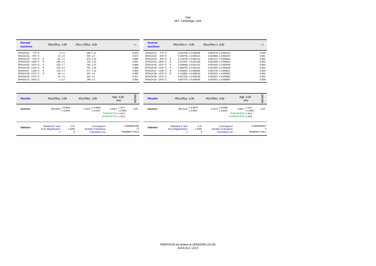| <b>Normal</b><br><b>Isochron</b> | $39(k)/36(a) \pm 2\sigma$ | $40(a+r)/36(a) \pm 2\sigma$ | r.i.  | <b>Inverse</b><br><b>Isochron</b> | $39(k)/40(a+r) \pm 2\sigma$ | $36(a)/40(a+r) \pm 2\sigma$ | r.i.  |
|----------------------------------|---------------------------|-----------------------------|-------|-----------------------------------|-----------------------------|-----------------------------|-------|
| 770 °C<br>5F041N.01              | $3 \pm 0$                 | $280 \pm 11$                | 0.870 | 770 °C<br>5F041N.01               | $0.010736 \pm 0.000240$     | $0.003576 \pm 0.000141$     | 0.005 |
| 5F041N.02<br>870 °C              | $13 \pm 0$                | $325 \pm 8$                 | 0.972 | 5F041N.02<br>870 °C               | $0.038794 + 0.000231$       | $0.003080 + 0.000075$       | 0.001 |
| 5F041N.03<br>970 °C $\bm{4}$     | $81 \pm 2$                | $473 \pm 10$                | 0.980 | 970 °C 4<br>5F041N.03             | $0.170728 + 0.000723$       | $0.002113 + 0.000044$       | 0.002 |
| 5F041N.04 1020 °C 4              | $196 \pm 6$               | $720 \pm 23$                | 0.991 | 5F041N.04 1020 °C 4               | $0.272422 + 0.001160$       | $0.001390 + 0.000044$       | 0.002 |
| 5F041N.05 1070 °C 4              | $233 \pm 7$               | $791 \pm 22$                | 0.989 | 5F041N.05 1070 °C 4               | $0.294685 + 0.001222$       | $0.001265 + 0.000035$       | 0.004 |
| 5F041N.06 1120 °C 4              | $220 \pm 6$               | $767 \pm 20$                | 0.988 | 5F041N.06 1120 °C 4               | $0.286791 + 0.001191$       | $0.001303 + 0.000035$       | 0.002 |
| 5F041N.07 1190 °C 4              | $134 \pm 3$               | $577 \pm 12$                | 0.982 | 5F041N.07 1190 °C 4               | $0.232641 + 0.000966$       | $0.001734 + 0.000037$       | 0.004 |
| 5F041N.08 1270 °C 4              | $49 \pm 1$                | $397 \pm 8$                 | 0.980 | 5F041N.08 1270 °C 4               | $0.122881 + 0.000519$       | $0.002519 \pm 0.000052$     | 0.004 |
| 5F041N.09 1370 °C                | $12 \pm 0$                | $314 \pm 5$                 | 0.971 | 5F041N.09 1370 °C                 | $0.037226 \pm 0.000158$     | $0.003187 + 0.000055$       | 0.003 |
| 5F041N.10 1670 °C                | $2 \pm 0$                 | $299 \pm 5$                 | 0.954 | 5F041N.10 1670 °C                 | $0.007776 \pm 0.000040$     | $0.003342 \pm 0.000055$     | 0.009 |

| <b>Results</b>    | $40(a)/36(a) \pm 2\sigma$                                      | $40(r)/39(k) \pm 2\sigma$                                                            | Age $\pm 2\sigma$<br>(Ma)                                                            | ≏<br>ŠM                               | <b>Results</b>    | $40(a)/36(a) \pm 2\sigma$                                                |                     | $40(r)/39(k) \pm 2\sigma$                                     | Age $\pm 2\sigma$<br>(Ma)                                                            | C<br>SM                              |
|-------------------|----------------------------------------------------------------|--------------------------------------------------------------------------------------|--------------------------------------------------------------------------------------|---------------------------------------|-------------------|--------------------------------------------------------------------------|---------------------|---------------------------------------------------------------|--------------------------------------------------------------------------------------|--------------------------------------|
| <b>Isochron</b>   | $295.0053 \pm 8.9624$<br>± 3.04%                               | $2.1375 \pm 0.0604$<br>± 2.82%                                                       | $1196.2 \pm 34.5$<br>± 2.89%<br>External Error $\pm$ 34.5<br>Analytical Error ± 33.8 | 2.03                                  | Isochron          | $295.2142 \pm 8.9979$                                                    | ± 3.05%             | $2.1373 \pm 0.0605$<br>± 2.83%                                | $1196.1 \pm 34.6$<br>± 2.89%<br>External Error $\pm$ 34.6<br>Analytical Error ± 33.8 | 2.04                                 |
| <b>Statistics</b> | <b>Statistical F ratio</b><br><b>Error Magnification</b><br>n. | 2.37<br>Convergence<br>1.4250<br>Number of Iterations<br>6<br><b>Calculated Line</b> |                                                                                      | 0.0000001583<br>27<br>Weighted York-2 | <b>Statistics</b> | <b>Statistical F ratio</b><br><b>Error Magnification</b><br>$\mathsf{n}$ | 2.37<br>1.4291<br>6 | Convergence<br>Number of Iterations<br><b>Calculated Line</b> |                                                                                      | 0.0000000617<br>3<br>Weighted York-2 |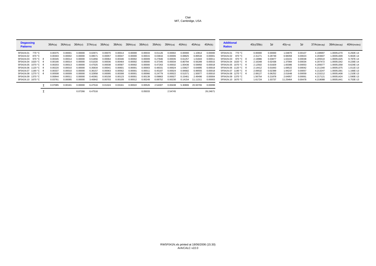| <b>Degassing</b><br><b>Patterns</b> | 36Ar(a) | 36Ar(ca)            | 36Ar(cl) | 37Ar(ca) | 38Ar(a) | 38Ar(k) | 38Ar(ca)       | 38Ar(cl) | 39Ar(k) | 39Ar(ca) | 40Ar(r) | 40Ar(a)  | 40Ar(k)  | <b>Additional</b><br><b>Ratios</b> | 40(r)/39(k) | $1\sigma$ | $40(r+a)$ | $1\sigma$ | 37Ar(decay) | 39Ar(decay) | 40Ar(moles) |
|-------------------------------------|---------|---------------------|----------|----------|---------|---------|----------------|----------|---------|----------|---------|----------|----------|------------------------------------|-------------|-----------|-----------|-----------|-------------|-------------|-------------|
| 5F041N.01 770 °C                    | 0.00375 | 0.0000 <sup>1</sup> | 0.00000  | 0.0297   | 0.00070 | 0.00014 | 0.00000        | 0.00033  | 0.01126 | 0.00002  | 0.00000 | .10814   | 0.00000  | 5F041N.01<br>770 °C                | 0.00000     | 0.00000   | 1.04870   | 0.00107   | 4.198997    | 1.00051270  | 6.292E-14   |
| 5F041N.02 870 °C                    | 0.00303 | 0.00002             | 0.00000  | 0.0857   | 0.00057 | 0.0004  | 0.00000        | 0.00015  | 0.03816 | 0.00006  | 0.08825 | 0.89534  | 0.0000   | 5F041N.02 870 °C                   | 2.31271     | 0.28749   | 0.98359   | 0.00023   | 4.203607    | 1.00051309  | 5.902E-14   |
| 5F041N.03 970 °C 4                  | 0.00345 | 0.0001              | 0.00000  | 0.51856  | 0.00064 | 0.00346 | 0.00002        | 0.00009  | 0.27846 | 0.00035  | 0.61257 | 1.01843  | 0.0001   | 5F041N.03<br>970 °C 4              | 2.19986     | 0.03877   | 1.63101   | 0.00038   | 4.205510    | 1.00051325  | 9.787E-14   |
| 5F041N.04 1020 °C 4                 | 0.00190 | 0.0001              | 0.00000  | 0.51020  | 0.00036 | 0.00464 | 0.00002        | 0.00000  | 0.37345 | 0.00034  | 0.80794 | 0.56289  | 0.00015  | 5F041N.04<br>1020 °C 4             | 2.16348     | 0.02438   | 1.37084   | 0.00034   | 4.207472    | 1.00051342  | 8.226E-14   |
| 5F041N.05 1070 °C 4                 | 0.00203 | 0.0001              | 0.00000  | 0.47025  | 0.00038 | 0.0058  | 0.00002        | 0.0000   | 0.47263 | 0.00032  | 1.00436 | 0.59950  | 0.00018  | 5F041N.05 1070 °C 4                | 2.12502     | 0.01829   | 1.60386   | 0.00053   | 4.209377    | 1.00051358  | 9.624E-14   |
| 5F041N.06 1120 °C 4                 | 0.00220 | 0.00010             | 0.00000  | 0.35834  | 0.0004  | 0.0060  | 0.0000'        | 0.00003  | 0.4833  | 0.00024  | 1.03627 | 0.64895  | 0.00019  | 5F041N.06 1120 °C 4                | 2.14412     | 0.01843   | 1.68522   | 0.00042   | 4.211340    | 1.00051375  | 1.011E-13   |
| 5F041N.07 1190 °C 4                 | 0.00337 | 0.00010             | 0.00000  | 0.3615   | 0.0006  | 0.00562 | $0.0000 \cdot$ | 0.0001   | 0.4518  | 0.0002   | 0.94682 | 0.99555  | 0.00018  | 5F041N.07 1190 ℃ 4                 | 2.09532     | 0.02399   | 1.94237   | 0.00057   | 4.213247    | 1.00051391  | .166E-13    |
| 5F041N.08 1270 °C 4                 | 0.00508 | 0.00009             | 0.00000  | 0.32858  | 0.00095 | 0.00308 | 0.0000         | 0.00066  | 0.24779 | 0.00022  | 0.5157' | 1.50077  | 0.00010  | 5F041N.08 1270 ℃ 4                 | 2.08127     | 0.06252   | 2.01648   | 0.00059   | 4.215212    | 1.00051408  | .210E-13    |
| 1370 °C<br>5F041N.09                | 0.00844 | 0.0001              | 0.00000  | 0.4038   | 0.00158 | 0.00123 | $0.0000 \cdot$ | 0.00139  | 0.09863 | 0.0002   | 0.15461 | 2.49496  | 0.00004  | 5F041N.09 1370 °C                  | 1.56754     | 0.21878   | 2.64957   | 0.00061   | 4.217121    | 1.00051424  | 1.590E-13   |
| 5F041N.10 1670 °C                   | 0.0376  | 0.0009              | 0.00000  | 3.40842  | 0.00703 | 0.00109 | 0.00012        | 0.00249  | 0.08752 | 0.00230  | 0.14154 | 11.11311 | 0.00003  | 5F041N.10 1670 °C                  | 1.61724     | 1.03737   | 11.25464  | 0.00478   | 4.219088    | 1.00051441  | 6.753E-13   |
|                                     | 0.07085 | $0.0018^{\circ}$    | 0.00000  | 6.47516  | 0.01324 | 0.03161 | 0.00022        | 0.00526  | 2.54307 | 0.00438  | 5.30806 | 20.93765 | 0.00099  |                                    |             |           |           |           |             |             |             |
|                                     |         |                     | 0.07266  | 6.47516  |         |         |                | 0.05033  |         | 2.54745  |         |          | 26.24671 |                                    |             |           |           |           |             |             |             |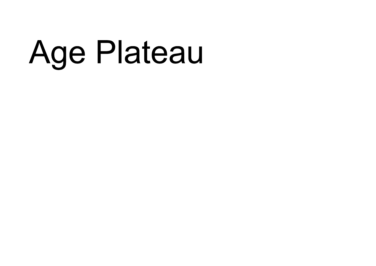## Age Plateau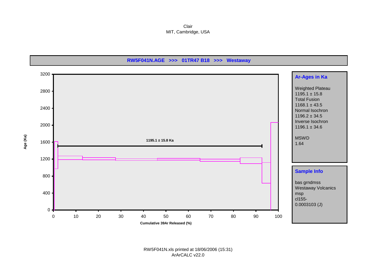Clair MIT, Cambridge, USA



RW5F041N.xls printed at 18/06/2006 (15:31) ArArCALC v22.0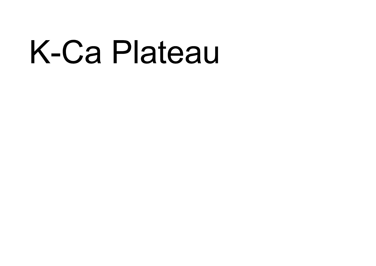## K-Ca Plateau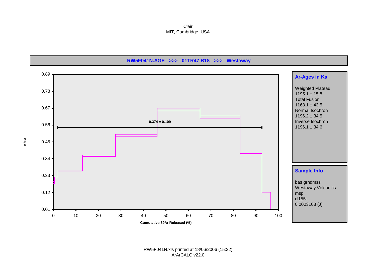Clair MIT, Cambridge, USA



RW5F041N.xls printed at 18/06/2006 (15:32) ArArCALC v22.0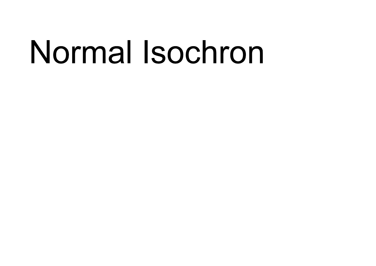## Normal Isochron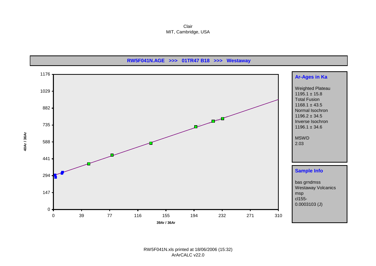Clair MIT, Cambridge, USA

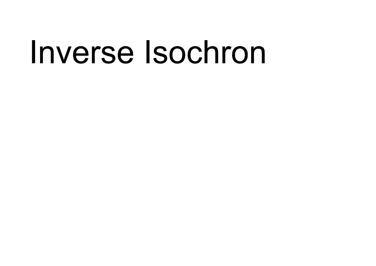### Inverse Isochron